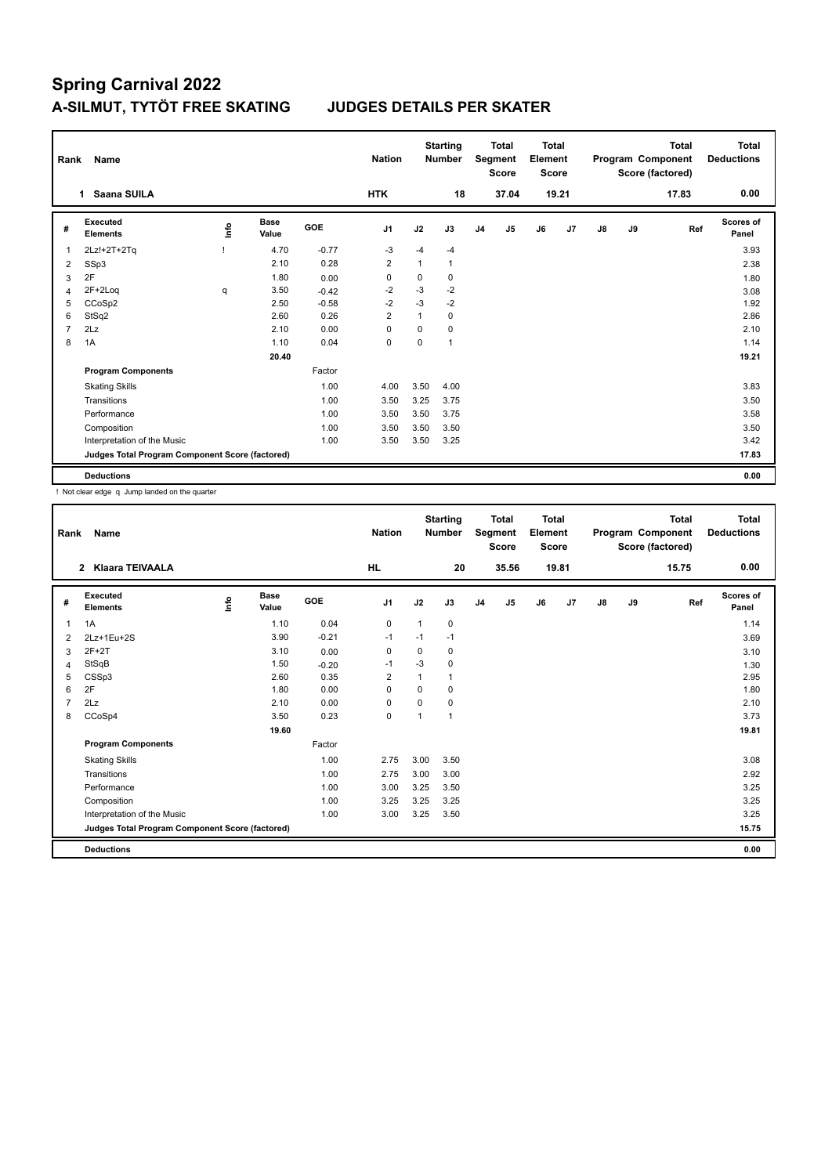| Rank           | Name                                            |      |                      |            | <b>Nation</b>  |          | <b>Starting</b><br><b>Number</b> |                | Total<br>Segment<br><b>Score</b> | <b>Total</b><br>Element<br><b>Score</b> |       |    |    | <b>Total</b><br>Program Component<br>Score (factored) | Total<br><b>Deductions</b> |
|----------------|-------------------------------------------------|------|----------------------|------------|----------------|----------|----------------------------------|----------------|----------------------------------|-----------------------------------------|-------|----|----|-------------------------------------------------------|----------------------------|
|                | Saana SUILA<br>$\mathbf 1$                      |      |                      |            | <b>HTK</b>     |          | 18                               |                | 37.04                            |                                         | 19.21 |    |    | 17.83                                                 | 0.00                       |
| #              | <b>Executed</b><br><b>Elements</b>              | lnfo | <b>Base</b><br>Value | <b>GOE</b> | J1             | J2       | J3                               | J <sub>4</sub> | J5                               | J6                                      | J7    | J8 | J9 | Ref                                                   | Scores of<br>Panel         |
| 1              | 2Lz!+2T+2Tq                                     |      | 4.70                 | $-0.77$    | $-3$           | $-4$     | $-4$                             |                |                                  |                                         |       |    |    |                                                       | 3.93                       |
| 2              | SSp3                                            |      | 2.10                 | 0.28       | $\overline{2}$ | 1        | $\mathbf{1}$                     |                |                                  |                                         |       |    |    |                                                       | 2.38                       |
| 3              | 2F                                              |      | 1.80                 | 0.00       | 0              | 0        | 0                                |                |                                  |                                         |       |    |    |                                                       | 1.80                       |
| 4              | $2F+2Log$                                       | q    | 3.50                 | $-0.42$    | $-2$           | $-3$     | $-2$                             |                |                                  |                                         |       |    |    |                                                       | 3.08                       |
| 5              | CCoSp2                                          |      | 2.50                 | $-0.58$    | $-2$           | $-3$     | $-2$                             |                |                                  |                                         |       |    |    |                                                       | 1.92                       |
| 6              | StSq2                                           |      | 2.60                 | 0.26       | $\overline{2}$ | 1        | 0                                |                |                                  |                                         |       |    |    |                                                       | 2.86                       |
| $\overline{7}$ | 2Lz                                             |      | 2.10                 | 0.00       | $\mathbf 0$    | $\Omega$ | 0                                |                |                                  |                                         |       |    |    |                                                       | 2.10                       |
| 8              | 1A                                              |      | 1.10                 | 0.04       | 0              | $\Omega$ | $\mathbf{1}$                     |                |                                  |                                         |       |    |    |                                                       | 1.14                       |
|                |                                                 |      | 20.40                |            |                |          |                                  |                |                                  |                                         |       |    |    |                                                       | 19.21                      |
|                | <b>Program Components</b>                       |      |                      | Factor     |                |          |                                  |                |                                  |                                         |       |    |    |                                                       |                            |
|                | <b>Skating Skills</b>                           |      |                      | 1.00       | 4.00           | 3.50     | 4.00                             |                |                                  |                                         |       |    |    |                                                       | 3.83                       |
|                | Transitions                                     |      |                      | 1.00       | 3.50           | 3.25     | 3.75                             |                |                                  |                                         |       |    |    |                                                       | 3.50                       |
|                | Performance                                     |      |                      | 1.00       | 3.50           | 3.50     | 3.75                             |                |                                  |                                         |       |    |    |                                                       | 3.58                       |
|                | Composition                                     |      |                      | 1.00       | 3.50           | 3.50     | 3.50                             |                |                                  |                                         |       |    |    |                                                       | 3.50                       |
|                | Interpretation of the Music                     |      |                      | 1.00       | 3.50           | 3.50     | 3.25                             |                |                                  |                                         |       |    |    |                                                       | 3.42                       |
|                | Judges Total Program Component Score (factored) |      |                      |            |                |          |                                  |                |                                  |                                         |       |    |    |                                                       | 17.83                      |
|                | <b>Deductions</b>                               |      |                      |            |                |          |                                  |                |                                  |                                         |       |    |    |                                                       | 0.00                       |

! Not clear edge q Jump landed on the quarter

| Rank | Name                                            |    |                      |         | <b>Nation</b>  |          | <b>Starting</b><br><b>Number</b> |                | <b>Total</b><br>Segment<br><b>Score</b> | <b>Total</b><br>Element<br><b>Score</b> |       |               |    | <b>Total</b><br>Program Component<br>Score (factored) | <b>Total</b><br><b>Deductions</b> |
|------|-------------------------------------------------|----|----------------------|---------|----------------|----------|----------------------------------|----------------|-----------------------------------------|-----------------------------------------|-------|---------------|----|-------------------------------------------------------|-----------------------------------|
|      | 2 Klaara TEIVAALA                               |    |                      |         | <b>HL</b>      |          | 20                               |                | 35.56                                   |                                         | 19.81 |               |    | 15.75                                                 | 0.00                              |
| #    | Executed<br><b>Elements</b>                     | ۴٥ | <b>Base</b><br>Value | GOE     | J1             | J2       | J3                               | J <sub>4</sub> | J5                                      | J6                                      | J7    | $\mathsf{J}8$ | J9 | Ref                                                   | <b>Scores of</b><br>Panel         |
| 1    | 1A                                              |    | 1.10                 | 0.04    | 0              | 1        | 0                                |                |                                         |                                         |       |               |    |                                                       | 1.14                              |
| 2    | 2Lz+1Eu+2S                                      |    | 3.90                 | $-0.21$ | $-1$           | $-1$     | $-1$                             |                |                                         |                                         |       |               |    |                                                       | 3.69                              |
| 3    | $2F+2T$                                         |    | 3.10                 | 0.00    | 0              | $\Omega$ | 0                                |                |                                         |                                         |       |               |    |                                                       | 3.10                              |
| 4    | StSqB                                           |    | 1.50                 | $-0.20$ | -1             | $-3$     | 0                                |                |                                         |                                         |       |               |    |                                                       | 1.30                              |
| 5    | CSSp3                                           |    | 2.60                 | 0.35    | $\overline{2}$ | 1        | 1                                |                |                                         |                                         |       |               |    |                                                       | 2.95                              |
| 6    | 2F                                              |    | 1.80                 | 0.00    | 0              | $\Omega$ | 0                                |                |                                         |                                         |       |               |    |                                                       | 1.80                              |
|      | 2Lz                                             |    | 2.10                 | 0.00    | 0              | $\Omega$ | 0                                |                |                                         |                                         |       |               |    |                                                       | 2.10                              |
| 8    | CCoSp4                                          |    | 3.50                 | 0.23    | $\mathbf 0$    | 1        | 1                                |                |                                         |                                         |       |               |    |                                                       | 3.73                              |
|      |                                                 |    | 19.60                |         |                |          |                                  |                |                                         |                                         |       |               |    |                                                       | 19.81                             |
|      | <b>Program Components</b>                       |    |                      | Factor  |                |          |                                  |                |                                         |                                         |       |               |    |                                                       |                                   |
|      | <b>Skating Skills</b>                           |    |                      | 1.00    | 2.75           | 3.00     | 3.50                             |                |                                         |                                         |       |               |    |                                                       | 3.08                              |
|      | Transitions                                     |    |                      | 1.00    | 2.75           | 3.00     | 3.00                             |                |                                         |                                         |       |               |    |                                                       | 2.92                              |
|      | Performance                                     |    |                      | 1.00    | 3.00           | 3.25     | 3.50                             |                |                                         |                                         |       |               |    |                                                       | 3.25                              |
|      | Composition                                     |    |                      | 1.00    | 3.25           | 3.25     | 3.25                             |                |                                         |                                         |       |               |    |                                                       | 3.25                              |
|      | Interpretation of the Music                     |    |                      | 1.00    | 3.00           | 3.25     | 3.50                             |                |                                         |                                         |       |               |    |                                                       | 3.25                              |
|      | Judges Total Program Component Score (factored) |    |                      |         |                |          |                                  |                |                                         |                                         |       |               |    |                                                       | 15.75                             |
|      | <b>Deductions</b>                               |    |                      |         |                |          |                                  |                |                                         |                                         |       |               |    |                                                       | 0.00                              |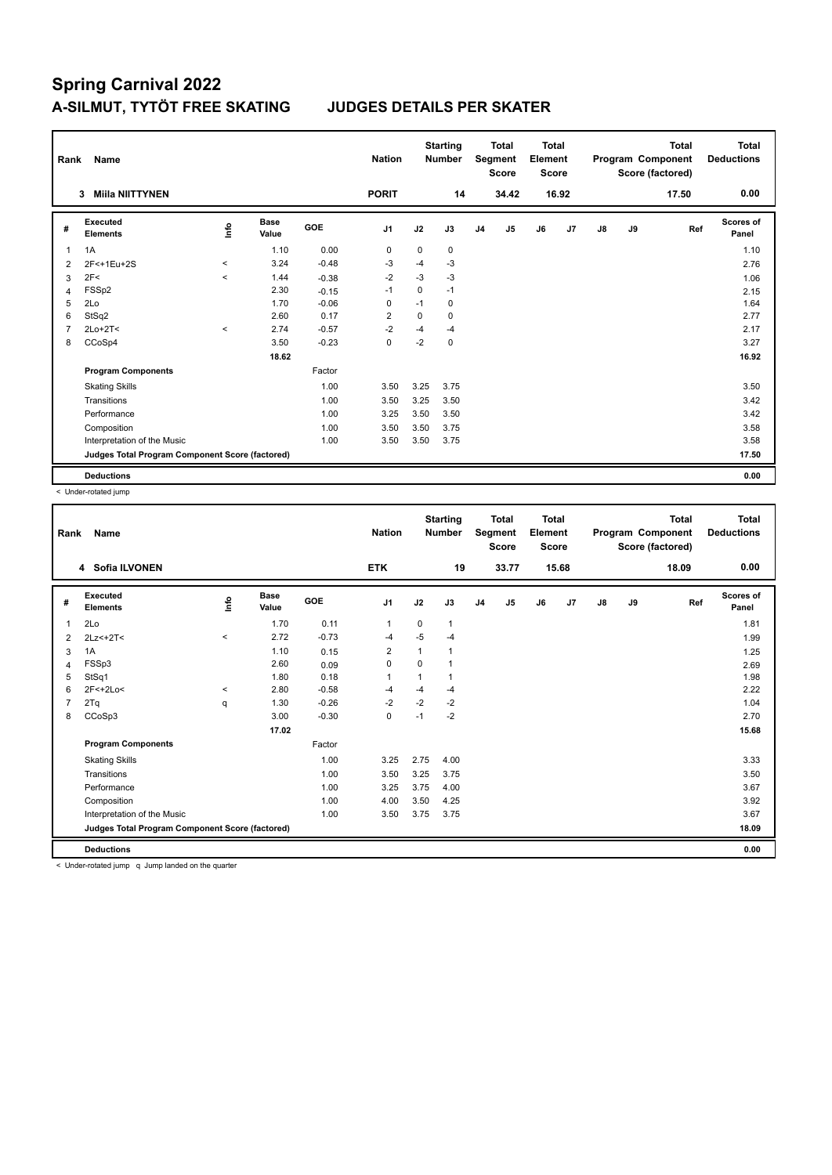| Rank           | Name                                            |         |                      |            | <b>Nation</b>  |             | <b>Starting</b><br><b>Number</b> |                | <b>Total</b><br>Segment<br><b>Score</b> | <b>Total</b><br>Element<br><b>Score</b> |       |    |    | <b>Total</b><br>Program Component<br>Score (factored) | Total<br><b>Deductions</b> |
|----------------|-------------------------------------------------|---------|----------------------|------------|----------------|-------------|----------------------------------|----------------|-----------------------------------------|-----------------------------------------|-------|----|----|-------------------------------------------------------|----------------------------|
|                | <b>Miila NIITTYNEN</b><br>3                     |         |                      |            | <b>PORIT</b>   |             | 14                               |                | 34.42                                   |                                         | 16.92 |    |    | 17.50                                                 | 0.00                       |
| #              | Executed<br><b>Elements</b>                     | ١nfo    | <b>Base</b><br>Value | <b>GOE</b> | J <sub>1</sub> | J2          | J3                               | J <sub>4</sub> | J5                                      | J6                                      | J7    | J8 | J9 | Ref                                                   | Scores of<br>Panel         |
| 1              | 1A                                              |         | 1.10                 | 0.00       | 0              | 0           | 0                                |                |                                         |                                         |       |    |    |                                                       | 1.10                       |
| 2              | 2F<+1Eu+2S                                      | $\,<\,$ | 3.24                 | $-0.48$    | $-3$           | $-4$        | $-3$                             |                |                                         |                                         |       |    |    |                                                       | 2.76                       |
| 3              | 2F<                                             | $\prec$ | 1.44                 | $-0.38$    | $-2$           | $-3$        | $-3$                             |                |                                         |                                         |       |    |    |                                                       | 1.06                       |
| 4              | FSSp2                                           |         | 2.30                 | $-0.15$    | $-1$           | $\mathbf 0$ | $-1$                             |                |                                         |                                         |       |    |    |                                                       | 2.15                       |
| 5              | 2Lo                                             |         | 1.70                 | $-0.06$    | 0              | $-1$        | 0                                |                |                                         |                                         |       |    |    |                                                       | 1.64                       |
| 6              | StSq2                                           |         | 2.60                 | 0.17       | $\overline{2}$ | $\mathbf 0$ | 0                                |                |                                         |                                         |       |    |    |                                                       | 2.77                       |
| $\overline{7}$ | $2Lo+2T<$                                       | $\prec$ | 2.74                 | $-0.57$    | $-2$           | $-4$        | $-4$                             |                |                                         |                                         |       |    |    |                                                       | 2.17                       |
| 8              | CCoSp4                                          |         | 3.50                 | $-0.23$    | $\mathbf 0$    | $-2$        | $\mathbf 0$                      |                |                                         |                                         |       |    |    |                                                       | 3.27                       |
|                |                                                 |         | 18.62                |            |                |             |                                  |                |                                         |                                         |       |    |    |                                                       | 16.92                      |
|                | <b>Program Components</b>                       |         |                      | Factor     |                |             |                                  |                |                                         |                                         |       |    |    |                                                       |                            |
|                | <b>Skating Skills</b>                           |         |                      | 1.00       | 3.50           | 3.25        | 3.75                             |                |                                         |                                         |       |    |    |                                                       | 3.50                       |
|                | Transitions                                     |         |                      | 1.00       | 3.50           | 3.25        | 3.50                             |                |                                         |                                         |       |    |    |                                                       | 3.42                       |
|                | Performance                                     |         |                      | 1.00       | 3.25           | 3.50        | 3.50                             |                |                                         |                                         |       |    |    |                                                       | 3.42                       |
|                | Composition                                     |         |                      | 1.00       | 3.50           | 3.50        | 3.75                             |                |                                         |                                         |       |    |    |                                                       | 3.58                       |
|                | Interpretation of the Music                     |         |                      | 1.00       | 3.50           | 3.50        | 3.75                             |                |                                         |                                         |       |    |    |                                                       | 3.58                       |
|                | Judges Total Program Component Score (factored) |         |                      |            |                |             |                                  |                |                                         |                                         |       |    |    |                                                       | 17.50                      |
|                | <b>Deductions</b>                               |         |                      |            |                |             |                                  |                |                                         |                                         |       |    |    |                                                       | 0.00                       |

< Under-rotated jump

| Rank | <b>Name</b>                                     |             |               |         | <b>Nation</b>  |             | <b>Starting</b><br><b>Number</b> |                | <b>Total</b><br>Segment<br><b>Score</b> | <b>Total</b><br>Element<br><b>Score</b> |       |    |    | <b>Total</b><br>Program Component<br>Score (factored) | <b>Total</b><br><b>Deductions</b> |
|------|-------------------------------------------------|-------------|---------------|---------|----------------|-------------|----------------------------------|----------------|-----------------------------------------|-----------------------------------------|-------|----|----|-------------------------------------------------------|-----------------------------------|
|      | 4 Sofia ILVONEN                                 |             |               |         | <b>ETK</b>     |             | 19                               |                | 33.77                                   |                                         | 15.68 |    |    | 18.09                                                 | 0.00                              |
| #    | Executed<br><b>Elements</b>                     | <u>info</u> | Base<br>Value | GOE     | J <sub>1</sub> | J2          | J3                               | J <sub>4</sub> | J <sub>5</sub>                          | J6                                      | J7    | J8 | J9 | Ref                                                   | Scores of<br>Panel                |
| 1    | 2Lo                                             |             | 1.70          | 0.11    | $\mathbf{1}$   | $\mathbf 0$ | 1                                |                |                                         |                                         |       |    |    |                                                       | 1.81                              |
| 2    | $2Lz<+2T<$                                      | $\hat{}$    | 2.72          | $-0.73$ | $-4$           | $-5$        | $-4$                             |                |                                         |                                         |       |    |    |                                                       | 1.99                              |
| 3    | 1A                                              |             | 1.10          | 0.15    | $\overline{2}$ | 1           | 1                                |                |                                         |                                         |       |    |    |                                                       | 1.25                              |
| 4    | FSSp3                                           |             | 2.60          | 0.09    | $\mathbf 0$    | 0           | 1                                |                |                                         |                                         |       |    |    |                                                       | 2.69                              |
| 5    | StSq1                                           |             | 1.80          | 0.18    | $\mathbf{1}$   | 1           | 1                                |                |                                         |                                         |       |    |    |                                                       | 1.98                              |
| 6    | 2F<+2Lo<                                        | $\,<\,$     | 2.80          | $-0.58$ | -4             | $-4$        | $-4$                             |                |                                         |                                         |       |    |    |                                                       | 2.22                              |
|      | 2Tq                                             | q           | 1.30          | $-0.26$ | $-2$           | $-2$        | $-2$                             |                |                                         |                                         |       |    |    |                                                       | 1.04                              |
| 8    | CCoSp3                                          |             | 3.00          | $-0.30$ | $\pmb{0}$      | $-1$        | $-2$                             |                |                                         |                                         |       |    |    |                                                       | 2.70                              |
|      |                                                 |             | 17.02         |         |                |             |                                  |                |                                         |                                         |       |    |    |                                                       | 15.68                             |
|      | <b>Program Components</b>                       |             |               | Factor  |                |             |                                  |                |                                         |                                         |       |    |    |                                                       |                                   |
|      | <b>Skating Skills</b>                           |             |               | 1.00    | 3.25           | 2.75        | 4.00                             |                |                                         |                                         |       |    |    |                                                       | 3.33                              |
|      | Transitions                                     |             |               | 1.00    | 3.50           | 3.25        | 3.75                             |                |                                         |                                         |       |    |    |                                                       | 3.50                              |
|      | Performance                                     |             |               | 1.00    | 3.25           | 3.75        | 4.00                             |                |                                         |                                         |       |    |    |                                                       | 3.67                              |
|      | Composition                                     |             |               | 1.00    | 4.00           | 3.50        | 4.25                             |                |                                         |                                         |       |    |    |                                                       | 3.92                              |
|      | Interpretation of the Music                     |             |               | 1.00    | 3.50           | 3.75        | 3.75                             |                |                                         |                                         |       |    |    |                                                       | 3.67                              |
|      | Judges Total Program Component Score (factored) |             |               |         |                |             |                                  |                |                                         |                                         |       |    |    |                                                       | 18.09                             |
|      | <b>Deductions</b>                               |             |               |         |                |             |                                  |                |                                         |                                         |       |    |    |                                                       | 0.00                              |

< Under-rotated jump q Jump landed on the quarter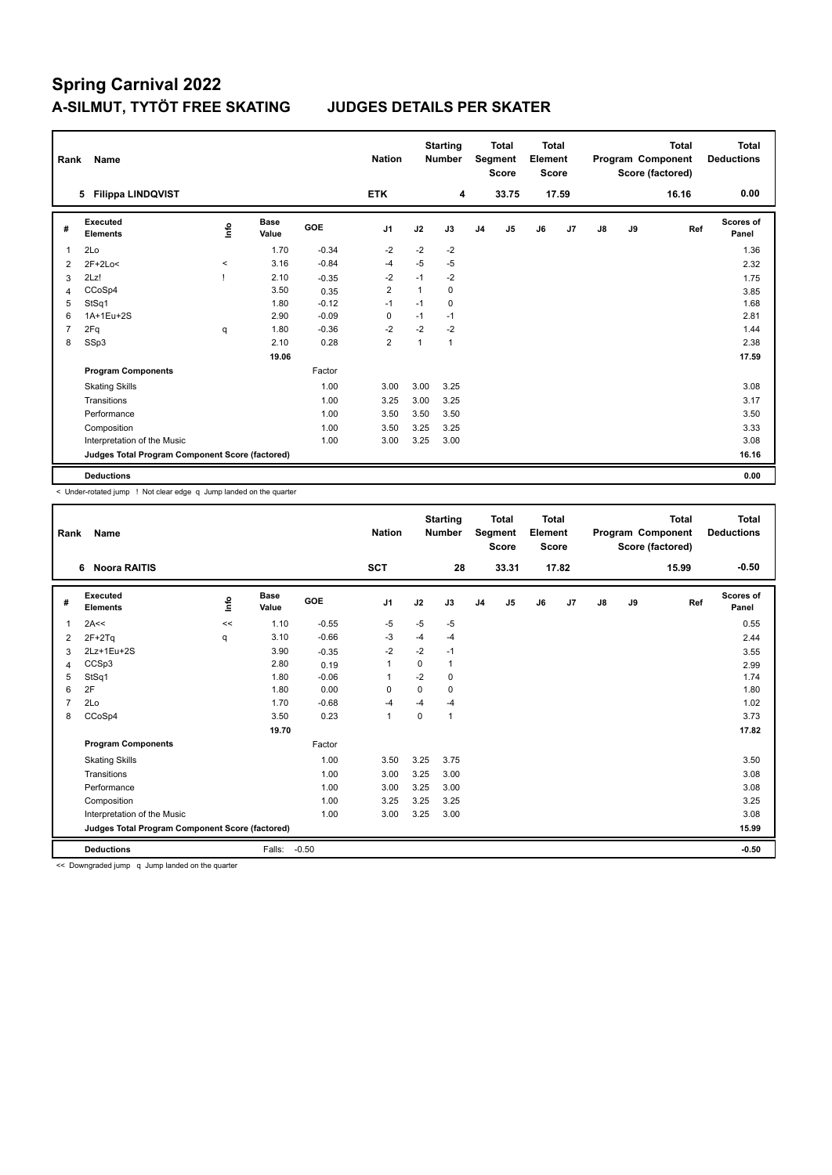| Rank           | Name                                            |          |                      |         | <b>Nation</b>  |                | <b>Starting</b><br><b>Number</b> |                | <b>Total</b><br>Segment<br><b>Score</b> | <b>Total</b><br>Element<br><b>Score</b> |       |               |    | <b>Total</b><br>Program Component<br>Score (factored) | Total<br><b>Deductions</b> |
|----------------|-------------------------------------------------|----------|----------------------|---------|----------------|----------------|----------------------------------|----------------|-----------------------------------------|-----------------------------------------|-------|---------------|----|-------------------------------------------------------|----------------------------|
|                | <b>Filippa LINDQVIST</b><br>5                   |          |                      |         | <b>ETK</b>     |                | 4                                |                | 33.75                                   |                                         | 17.59 |               |    | 16.16                                                 | 0.00                       |
| #              | Executed<br><b>Elements</b>                     | ١nfo     | <b>Base</b><br>Value | GOE     | J <sub>1</sub> | J2             | J3                               | J <sub>4</sub> | J5                                      | J6                                      | J7    | $\mathsf{J}8$ | J9 | Ref                                                   | <b>Scores of</b><br>Panel  |
| $\overline{1}$ | 2Lo                                             |          | 1.70                 | $-0.34$ | $-2$           | $-2$           | $-2$                             |                |                                         |                                         |       |               |    |                                                       | 1.36                       |
| 2              | $2F+2Lo<$                                       | $\hat{}$ | 3.16                 | $-0.84$ | $-4$           | $-5$           | $-5$                             |                |                                         |                                         |       |               |    |                                                       | 2.32                       |
| 3              | 2Lz!                                            |          | 2.10                 | $-0.35$ | $-2$           | $-1$           | $-2$                             |                |                                         |                                         |       |               |    |                                                       | 1.75                       |
| 4              | CCoSp4                                          |          | 3.50                 | 0.35    | $\overline{2}$ | $\overline{1}$ | 0                                |                |                                         |                                         |       |               |    |                                                       | 3.85                       |
| 5              | StSq1                                           |          | 1.80                 | $-0.12$ | $-1$           | $-1$           | 0                                |                |                                         |                                         |       |               |    |                                                       | 1.68                       |
| 6              | 1A+1Eu+2S                                       |          | 2.90                 | $-0.09$ | $\mathbf 0$    | $-1$           | $-1$                             |                |                                         |                                         |       |               |    |                                                       | 2.81                       |
| $\overline{7}$ | 2Fq                                             | q        | 1.80                 | $-0.36$ | $-2$           | $-2$           | $-2$                             |                |                                         |                                         |       |               |    |                                                       | 1.44                       |
| 8              | SSp3                                            |          | 2.10                 | 0.28    | $\overline{2}$ |                | $\mathbf{1}$                     |                |                                         |                                         |       |               |    |                                                       | 2.38                       |
|                |                                                 |          | 19.06                |         |                |                |                                  |                |                                         |                                         |       |               |    |                                                       | 17.59                      |
|                | <b>Program Components</b>                       |          |                      | Factor  |                |                |                                  |                |                                         |                                         |       |               |    |                                                       |                            |
|                | <b>Skating Skills</b>                           |          |                      | 1.00    | 3.00           | 3.00           | 3.25                             |                |                                         |                                         |       |               |    |                                                       | 3.08                       |
|                | Transitions                                     |          |                      | 1.00    | 3.25           | 3.00           | 3.25                             |                |                                         |                                         |       |               |    |                                                       | 3.17                       |
|                | Performance                                     |          |                      | 1.00    | 3.50           | 3.50           | 3.50                             |                |                                         |                                         |       |               |    |                                                       | 3.50                       |
|                | Composition                                     |          |                      | 1.00    | 3.50           | 3.25           | 3.25                             |                |                                         |                                         |       |               |    |                                                       | 3.33                       |
|                | Interpretation of the Music                     |          |                      | 1.00    | 3.00           | 3.25           | 3.00                             |                |                                         |                                         |       |               |    |                                                       | 3.08                       |
|                | Judges Total Program Component Score (factored) |          |                      |         |                |                |                                  |                |                                         |                                         |       |               |    |                                                       | 16.16                      |
|                | <b>Deductions</b>                               |          |                      |         |                |                |                                  |                |                                         |                                         |       |               |    |                                                       | 0.00                       |

< Under-rotated jump ! Not clear edge q Jump landed on the quarter

| Rank | <b>Name</b>                                     |             |                      |         | <b>Nation</b>  |             | <b>Starting</b><br><b>Number</b> |                | <b>Total</b><br>Segment<br><b>Score</b> | <b>Total</b><br>Element<br><b>Score</b> |       |    |    | <b>Total</b><br>Program Component<br>Score (factored) | <b>Total</b><br><b>Deductions</b> |
|------|-------------------------------------------------|-------------|----------------------|---------|----------------|-------------|----------------------------------|----------------|-----------------------------------------|-----------------------------------------|-------|----|----|-------------------------------------------------------|-----------------------------------|
|      | <b>Noora RAITIS</b><br>6                        |             |                      |         | SCT            |             | 28                               |                | 33.31                                   |                                         | 17.82 |    |    | 15.99                                                 | $-0.50$                           |
| #    | Executed<br><b>Elements</b>                     | <u>info</u> | <b>Base</b><br>Value | GOE     | J <sub>1</sub> | J2          | J3                               | J <sub>4</sub> | J5                                      | J6                                      | J7    | J8 | J9 | Ref                                                   | <b>Scores of</b><br>Panel         |
| 1    | 2A<<                                            | <<          | 1.10                 | $-0.55$ | $-5$           | $-5$        | $-5$                             |                |                                         |                                         |       |    |    |                                                       | 0.55                              |
| 2    | $2F+2Tq$                                        | q           | 3.10                 | $-0.66$ | $-3$           | $-4$        | $-4$                             |                |                                         |                                         |       |    |    |                                                       | 2.44                              |
| 3    | 2Lz+1Eu+2S                                      |             | 3.90                 | $-0.35$ | $-2$           | $-2$        | $-1$                             |                |                                         |                                         |       |    |    |                                                       | 3.55                              |
| 4    | CCSp3                                           |             | 2.80                 | 0.19    | $\mathbf{1}$   | 0           | 1                                |                |                                         |                                         |       |    |    |                                                       | 2.99                              |
| 5    | StSq1                                           |             | 1.80                 | $-0.06$ | $\mathbf{1}$   | $-2$        | 0                                |                |                                         |                                         |       |    |    |                                                       | 1.74                              |
| 6    | 2F                                              |             | 1.80                 | 0.00    | 0              | 0           | 0                                |                |                                         |                                         |       |    |    |                                                       | 1.80                              |
| 7    | 2Lo                                             |             | 1.70                 | $-0.68$ | $-4$           | $-4$        | $-4$                             |                |                                         |                                         |       |    |    |                                                       | 1.02                              |
| 8    | CCoSp4                                          |             | 3.50                 | 0.23    | 1              | $\mathbf 0$ | 1                                |                |                                         |                                         |       |    |    |                                                       | 3.73                              |
|      |                                                 |             | 19.70                |         |                |             |                                  |                |                                         |                                         |       |    |    |                                                       | 17.82                             |
|      | <b>Program Components</b>                       |             |                      | Factor  |                |             |                                  |                |                                         |                                         |       |    |    |                                                       |                                   |
|      | <b>Skating Skills</b>                           |             |                      | 1.00    | 3.50           | 3.25        | 3.75                             |                |                                         |                                         |       |    |    |                                                       | 3.50                              |
|      | Transitions                                     |             |                      | 1.00    | 3.00           | 3.25        | 3.00                             |                |                                         |                                         |       |    |    |                                                       | 3.08                              |
|      | Performance                                     |             |                      | 1.00    | 3.00           | 3.25        | 3.00                             |                |                                         |                                         |       |    |    |                                                       | 3.08                              |
|      | Composition                                     |             |                      | 1.00    | 3.25           | 3.25        | 3.25                             |                |                                         |                                         |       |    |    |                                                       | 3.25                              |
|      | Interpretation of the Music                     |             |                      | 1.00    | 3.00           | 3.25        | 3.00                             |                |                                         |                                         |       |    |    |                                                       | 3.08                              |
|      | Judges Total Program Component Score (factored) |             |                      |         |                |             |                                  |                |                                         |                                         |       |    |    |                                                       | 15.99                             |
|      | <b>Deductions</b>                               |             | Falls:               | $-0.50$ |                |             |                                  |                |                                         |                                         |       |    |    |                                                       | $-0.50$                           |

<< Downgraded jump q Jump landed on the quarter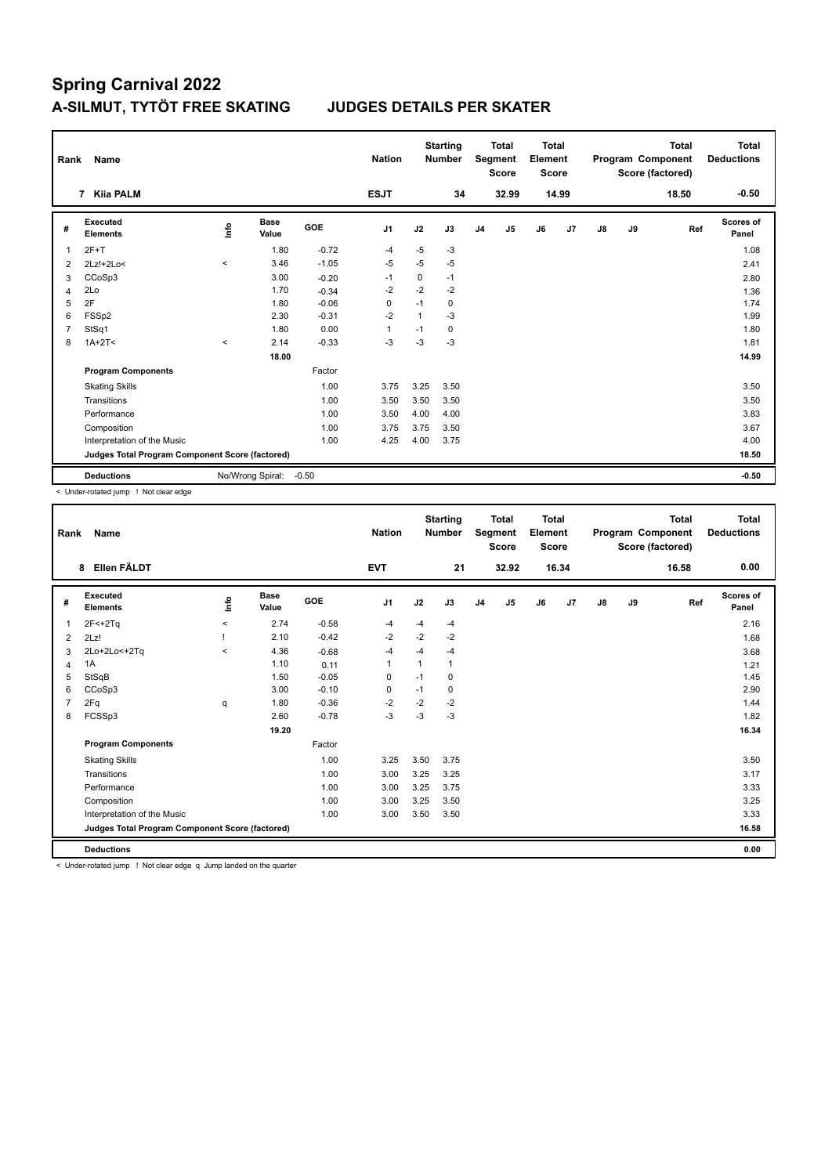| Rank           | Name                                            |         |                      |            | <b>Nation</b>  |      | <b>Starting</b><br><b>Number</b> |                | <b>Total</b><br>Segment<br><b>Score</b> | <b>Total</b><br>Element<br><b>Score</b> |       |    |    | <b>Total</b><br>Program Component<br>Score (factored) | Total<br><b>Deductions</b> |
|----------------|-------------------------------------------------|---------|----------------------|------------|----------------|------|----------------------------------|----------------|-----------------------------------------|-----------------------------------------|-------|----|----|-------------------------------------------------------|----------------------------|
|                | 7 Kiia PALM                                     |         |                      |            | <b>ESJT</b>    |      | 34                               |                | 32.99                                   |                                         | 14.99 |    |    | 18.50                                                 | $-0.50$                    |
| #              | Executed<br><b>Elements</b>                     | ۴٥      | <b>Base</b><br>Value | <b>GOE</b> | J <sub>1</sub> | J2   | J3                               | J <sub>4</sub> | J5                                      | J6                                      | J7    | J8 | J9 | Ref                                                   | Scores of<br>Panel         |
| 1              | $2F+T$                                          |         | 1.80                 | $-0.72$    | $-4$           | $-5$ | $-3$                             |                |                                         |                                         |       |    |    |                                                       | 1.08                       |
| 2              | 2Lz!+2Lo<                                       | $\prec$ | 3.46                 | $-1.05$    | $-5$           | $-5$ | $-5$                             |                |                                         |                                         |       |    |    |                                                       | 2.41                       |
| 3              | CCoSp3                                          |         | 3.00                 | $-0.20$    | $-1$           | 0    | $-1$                             |                |                                         |                                         |       |    |    |                                                       | 2.80                       |
| 4              | 2Lo                                             |         | 1.70                 | $-0.34$    | $-2$           | $-2$ | $-2$                             |                |                                         |                                         |       |    |    |                                                       | 1.36                       |
| 5              | 2F                                              |         | 1.80                 | $-0.06$    | 0              | $-1$ | 0                                |                |                                         |                                         |       |    |    |                                                       | 1.74                       |
| 6              | FSS <sub>p2</sub>                               |         | 2.30                 | $-0.31$    | $-2$           | 1    | $-3$                             |                |                                         |                                         |       |    |    |                                                       | 1.99                       |
| $\overline{7}$ | StSq1                                           |         | 1.80                 | 0.00       | $\mathbf{1}$   | $-1$ | 0                                |                |                                         |                                         |       |    |    |                                                       | 1.80                       |
| 8              | $1A+2T2$                                        | $\prec$ | 2.14                 | $-0.33$    | $-3$           | $-3$ | $-3$                             |                |                                         |                                         |       |    |    |                                                       | 1.81                       |
|                |                                                 |         | 18.00                |            |                |      |                                  |                |                                         |                                         |       |    |    |                                                       | 14.99                      |
|                | <b>Program Components</b>                       |         |                      | Factor     |                |      |                                  |                |                                         |                                         |       |    |    |                                                       |                            |
|                | <b>Skating Skills</b>                           |         |                      | 1.00       | 3.75           | 3.25 | 3.50                             |                |                                         |                                         |       |    |    |                                                       | 3.50                       |
|                | Transitions                                     |         |                      | 1.00       | 3.50           | 3.50 | 3.50                             |                |                                         |                                         |       |    |    |                                                       | 3.50                       |
|                | Performance                                     |         |                      | 1.00       | 3.50           | 4.00 | 4.00                             |                |                                         |                                         |       |    |    |                                                       | 3.83                       |
|                | Composition                                     |         |                      | 1.00       | 3.75           | 3.75 | 3.50                             |                |                                         |                                         |       |    |    |                                                       | 3.67                       |
|                | Interpretation of the Music                     |         |                      | 1.00       | 4.25           | 4.00 | 3.75                             |                |                                         |                                         |       |    |    |                                                       | 4.00                       |
|                | Judges Total Program Component Score (factored) |         |                      |            |                |      |                                  |                |                                         |                                         |       |    |    |                                                       | 18.50                      |
|                | <b>Deductions</b>                               |         | No/Wrong Spiral:     | $-0.50$    |                |      |                                  |                |                                         |                                         |       |    |    |                                                       | $-0.50$                    |

< Under-rotated jump ! Not clear edge

| Rank | <b>Name</b>                                     |             |               |         | <b>Nation</b>  |              | <b>Starting</b><br><b>Number</b> |                | <b>Total</b><br>Segment<br><b>Score</b> | <b>Total</b><br>Element<br><b>Score</b> |       |    |    | <b>Total</b><br>Program Component<br>Score (factored) | <b>Total</b><br><b>Deductions</b> |
|------|-------------------------------------------------|-------------|---------------|---------|----------------|--------------|----------------------------------|----------------|-----------------------------------------|-----------------------------------------|-------|----|----|-------------------------------------------------------|-----------------------------------|
|      | Ellen FÄLDT<br>8                                |             |               |         | <b>EVT</b>     |              | 21                               |                | 32.92                                   |                                         | 16.34 |    |    | 16.58                                                 | 0.00                              |
| #    | Executed<br><b>Elements</b>                     | <u>info</u> | Base<br>Value | GOE     | J <sub>1</sub> | J2           | J3                               | J <sub>4</sub> | J <sub>5</sub>                          | J6                                      | J7    | J8 | J9 | Ref                                                   | Scores of<br>Panel                |
| 1    | $2F < +2Tq$                                     | $\hat{}$    | 2.74          | $-0.58$ | $-4$           | -4           | $-4$                             |                |                                         |                                         |       |    |    |                                                       | 2.16                              |
| 2    | 2Lz!                                            |             | 2.10          | $-0.42$ | $-2$           | $-2$         | $-2$                             |                |                                         |                                         |       |    |    |                                                       | 1.68                              |
| 3    | 2Lo+2Lo<+2Tq                                    | $\prec$     | 4.36          | $-0.68$ | $-4$           | $-4$         | $-4$                             |                |                                         |                                         |       |    |    |                                                       | 3.68                              |
| 4    | 1A                                              |             | 1.10          | 0.11    | $\mathbf{1}$   | $\mathbf{1}$ | 1                                |                |                                         |                                         |       |    |    |                                                       | 1.21                              |
| 5    | StSqB                                           |             | 1.50          | $-0.05$ | 0              | $-1$         | 0                                |                |                                         |                                         |       |    |    |                                                       | 1.45                              |
| 6    | CCoSp3                                          |             | 3.00          | $-0.10$ | 0              | $-1$         | 0                                |                |                                         |                                         |       |    |    |                                                       | 2.90                              |
|      | 2Fq                                             | q           | 1.80          | $-0.36$ | $-2$           | $-2$         | $-2$                             |                |                                         |                                         |       |    |    |                                                       | 1.44                              |
| 8    | FCSSp3                                          |             | 2.60          | $-0.78$ | $-3$           | $-3$         | $-3$                             |                |                                         |                                         |       |    |    |                                                       | 1.82                              |
|      |                                                 |             | 19.20         |         |                |              |                                  |                |                                         |                                         |       |    |    |                                                       | 16.34                             |
|      | <b>Program Components</b>                       |             |               | Factor  |                |              |                                  |                |                                         |                                         |       |    |    |                                                       |                                   |
|      | <b>Skating Skills</b>                           |             |               | 1.00    | 3.25           | 3.50         | 3.75                             |                |                                         |                                         |       |    |    |                                                       | 3.50                              |
|      | Transitions                                     |             |               | 1.00    | 3.00           | 3.25         | 3.25                             |                |                                         |                                         |       |    |    |                                                       | 3.17                              |
|      | Performance                                     |             |               | 1.00    | 3.00           | 3.25         | 3.75                             |                |                                         |                                         |       |    |    |                                                       | 3.33                              |
|      | Composition                                     |             |               | 1.00    | 3.00           | 3.25         | 3.50                             |                |                                         |                                         |       |    |    |                                                       | 3.25                              |
|      | Interpretation of the Music                     |             |               | 1.00    | 3.00           | 3.50         | 3.50                             |                |                                         |                                         |       |    |    |                                                       | 3.33                              |
|      | Judges Total Program Component Score (factored) |             |               |         |                |              |                                  |                |                                         |                                         |       |    |    |                                                       | 16.58                             |
|      | <b>Deductions</b>                               |             |               |         |                |              |                                  |                |                                         |                                         |       |    |    |                                                       | 0.00                              |

< Under-rotated jump ! Not clear edge q Jump landed on the quarter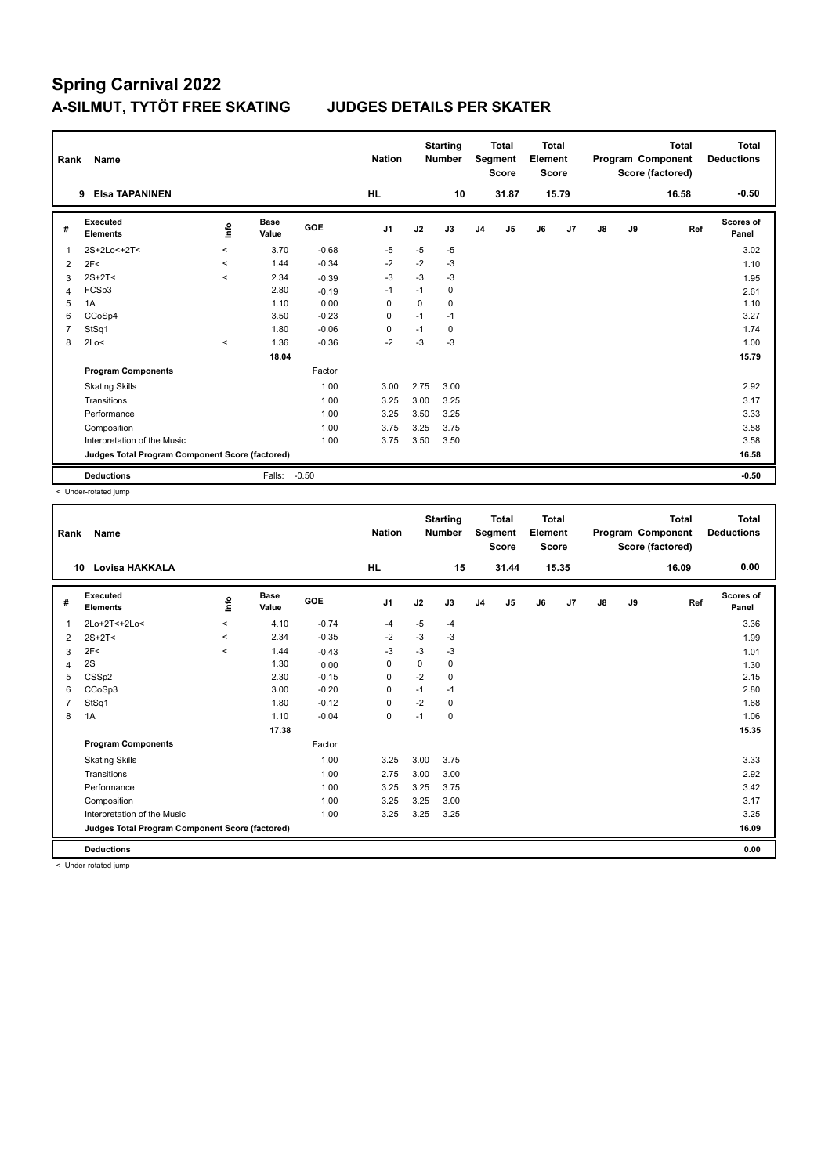| Rank           | Name                                            |             |                      |         | <b>Nation</b>  |          | <b>Starting</b><br><b>Number</b> |                | <b>Total</b><br>Segment<br><b>Score</b> | Total<br>Element<br><b>Score</b> |       |               |    | <b>Total</b><br>Program Component<br>Score (factored) | <b>Total</b><br><b>Deductions</b> |
|----------------|-------------------------------------------------|-------------|----------------------|---------|----------------|----------|----------------------------------|----------------|-----------------------------------------|----------------------------------|-------|---------------|----|-------------------------------------------------------|-----------------------------------|
|                | <b>Elsa TAPANINEN</b><br>9                      |             |                      |         | <b>HL</b>      |          | 10                               |                | 31.87                                   |                                  | 15.79 |               |    | 16.58                                                 | $-0.50$                           |
| #              | Executed<br><b>Elements</b>                     | <u>info</u> | <b>Base</b><br>Value | GOE     | J <sub>1</sub> | J2       | J3                               | J <sub>4</sub> | J5                                      | J6                               | J7    | $\mathsf{J}8$ | J9 | Ref                                                   | <b>Scores of</b><br>Panel         |
| $\overline{1}$ | 2S+2Lo<+2T<                                     | $\prec$     | 3.70                 | $-0.68$ | $-5$           | $-5$     | $-5$                             |                |                                         |                                  |       |               |    |                                                       | 3.02                              |
| 2              | 2F<                                             | $\prec$     | 1.44                 | $-0.34$ | $-2$           | $-2$     | $-3$                             |                |                                         |                                  |       |               |    |                                                       | 1.10                              |
| 3              | $2S+2T<$                                        | $\prec$     | 2.34                 | $-0.39$ | $-3$           | $-3$     | $-3$                             |                |                                         |                                  |       |               |    |                                                       | 1.95                              |
| 4              | FCSp3                                           |             | 2.80                 | $-0.19$ | $-1$           | $-1$     | 0                                |                |                                         |                                  |       |               |    |                                                       | 2.61                              |
| 5              | 1A                                              |             | 1.10                 | 0.00    | $\Omega$       | $\Omega$ | 0                                |                |                                         |                                  |       |               |    |                                                       | 1.10                              |
| 6              | CCoSp4                                          |             | 3.50                 | $-0.23$ | 0              | $-1$     | $-1$                             |                |                                         |                                  |       |               |    |                                                       | 3.27                              |
| $\overline{7}$ | StSq1                                           |             | 1.80                 | $-0.06$ | 0              | $-1$     | 0                                |                |                                         |                                  |       |               |    |                                                       | 1.74                              |
| 8              | 2Lo<                                            | $\prec$     | 1.36                 | $-0.36$ | $-2$           | $-3$     | $-3$                             |                |                                         |                                  |       |               |    |                                                       | 1.00                              |
|                |                                                 |             | 18.04                |         |                |          |                                  |                |                                         |                                  |       |               |    |                                                       | 15.79                             |
|                | <b>Program Components</b>                       |             |                      | Factor  |                |          |                                  |                |                                         |                                  |       |               |    |                                                       |                                   |
|                | <b>Skating Skills</b>                           |             |                      | 1.00    | 3.00           | 2.75     | 3.00                             |                |                                         |                                  |       |               |    |                                                       | 2.92                              |
|                | Transitions                                     |             |                      | 1.00    | 3.25           | 3.00     | 3.25                             |                |                                         |                                  |       |               |    |                                                       | 3.17                              |
|                | Performance                                     |             |                      | 1.00    | 3.25           | 3.50     | 3.25                             |                |                                         |                                  |       |               |    |                                                       | 3.33                              |
|                | Composition                                     |             |                      | 1.00    | 3.75           | 3.25     | 3.75                             |                |                                         |                                  |       |               |    |                                                       | 3.58                              |
|                | Interpretation of the Music                     |             |                      | 1.00    | 3.75           | 3.50     | 3.50                             |                |                                         |                                  |       |               |    |                                                       | 3.58                              |
|                | Judges Total Program Component Score (factored) |             |                      |         |                |          |                                  |                |                                         |                                  |       |               |    |                                                       | 16.58                             |
|                | <b>Deductions</b>                               |             | Falls:               | $-0.50$ |                |          |                                  |                |                                         |                                  |       |               |    |                                                       | $-0.50$                           |

< Under-rotated jump

| Rank | <b>Name</b>                                     |             |               |         | <b>Nation</b>  |      | <b>Starting</b><br><b>Number</b> |                | <b>Total</b><br>Segment<br><b>Score</b> | Total<br>Element<br><b>Score</b> |       |               |    | <b>Total</b><br>Program Component<br>Score (factored) | <b>Total</b><br><b>Deductions</b> |
|------|-------------------------------------------------|-------------|---------------|---------|----------------|------|----------------------------------|----------------|-----------------------------------------|----------------------------------|-------|---------------|----|-------------------------------------------------------|-----------------------------------|
|      | Lovisa HAKKALA<br>10                            |             |               |         | <b>HL</b>      |      | 15                               |                | 31.44                                   |                                  | 15.35 |               |    | 16.09                                                 | 0.00                              |
| #    | Executed<br><b>Elements</b>                     | <u>info</u> | Base<br>Value | GOE     | J <sub>1</sub> | J2   | J3                               | J <sub>4</sub> | J5                                      | J6                               | J7    | $\mathsf{J}8$ | J9 | Ref                                                   | <b>Scores of</b><br>Panel         |
| 1    | 2Lo+2T<+2Lo<                                    | $\prec$     | 4.10          | $-0.74$ | $-4$           | $-5$ | $-4$                             |                |                                         |                                  |       |               |    |                                                       | 3.36                              |
| 2    | $2S+2T<$                                        | $\hat{}$    | 2.34          | $-0.35$ | $-2$           | $-3$ | $-3$                             |                |                                         |                                  |       |               |    |                                                       | 1.99                              |
| 3    | 2F<                                             | $\prec$     | 1.44          | $-0.43$ | $-3$           | $-3$ | $-3$                             |                |                                         |                                  |       |               |    |                                                       | 1.01                              |
| 4    | 2S                                              |             | 1.30          | 0.00    | 0              | 0    | 0                                |                |                                         |                                  |       |               |    |                                                       | 1.30                              |
| 5    | CSS <sub>p2</sub>                               |             | 2.30          | $-0.15$ | $\mathbf 0$    | $-2$ | $\mathbf 0$                      |                |                                         |                                  |       |               |    |                                                       | 2.15                              |
| 6    | CCoSp3                                          |             | 3.00          | $-0.20$ | 0              | $-1$ | $-1$                             |                |                                         |                                  |       |               |    |                                                       | 2.80                              |
| 7    | StSq1                                           |             | 1.80          | $-0.12$ | 0              | $-2$ | 0                                |                |                                         |                                  |       |               |    |                                                       | 1.68                              |
| 8    | 1A                                              |             | 1.10          | $-0.04$ | 0              | $-1$ | 0                                |                |                                         |                                  |       |               |    |                                                       | 1.06                              |
|      |                                                 |             | 17.38         |         |                |      |                                  |                |                                         |                                  |       |               |    |                                                       | 15.35                             |
|      | <b>Program Components</b>                       |             |               | Factor  |                |      |                                  |                |                                         |                                  |       |               |    |                                                       |                                   |
|      | <b>Skating Skills</b>                           |             |               | 1.00    | 3.25           | 3.00 | 3.75                             |                |                                         |                                  |       |               |    |                                                       | 3.33                              |
|      | Transitions                                     |             |               | 1.00    | 2.75           | 3.00 | 3.00                             |                |                                         |                                  |       |               |    |                                                       | 2.92                              |
|      | Performance                                     |             |               | 1.00    | 3.25           | 3.25 | 3.75                             |                |                                         |                                  |       |               |    |                                                       | 3.42                              |
|      | Composition                                     |             |               | 1.00    | 3.25           | 3.25 | 3.00                             |                |                                         |                                  |       |               |    |                                                       | 3.17                              |
|      | Interpretation of the Music                     |             |               | 1.00    | 3.25           | 3.25 | 3.25                             |                |                                         |                                  |       |               |    |                                                       | 3.25                              |
|      | Judges Total Program Component Score (factored) |             |               |         |                |      |                                  |                |                                         |                                  |       |               |    |                                                       | 16.09                             |
|      | <b>Deductions</b>                               |             |               |         |                |      |                                  |                |                                         |                                  |       |               |    |                                                       | 0.00                              |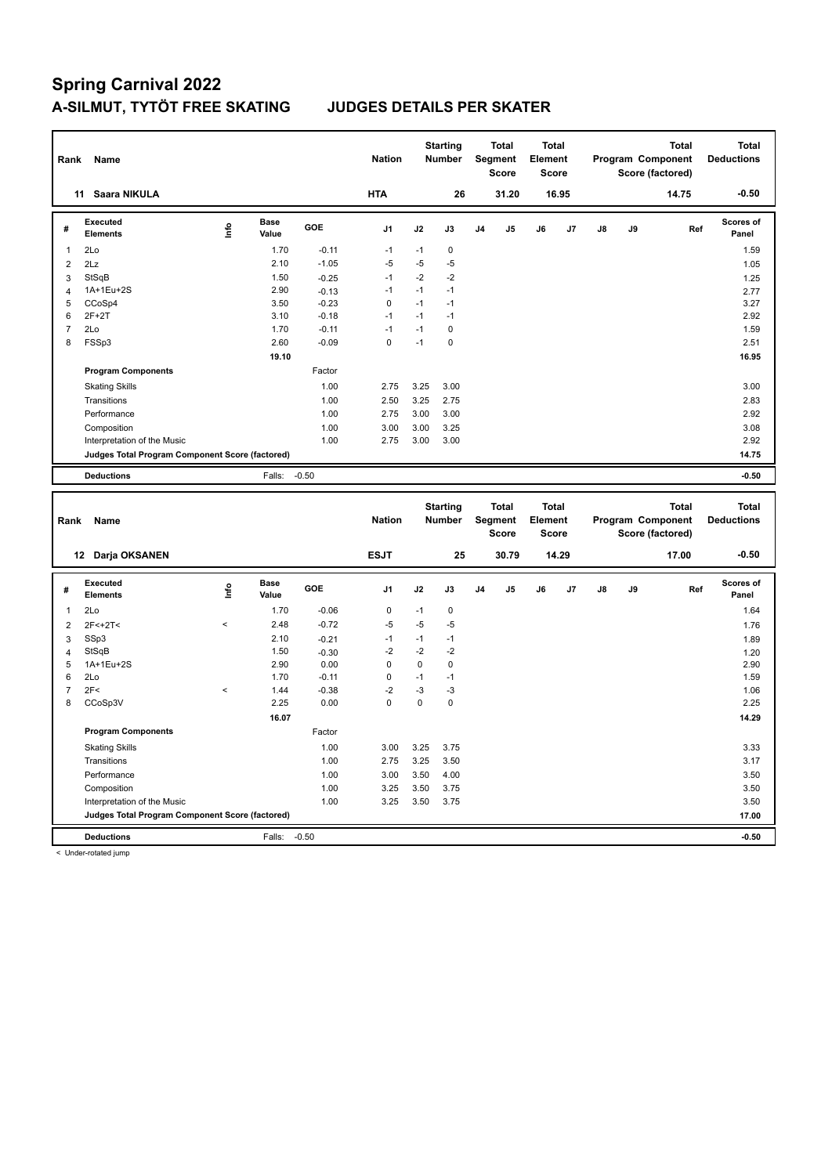| Rank           | Name                                            |             |                      |         | <b>Nation</b>  |           | <b>Starting</b><br><b>Number</b> |                | <b>Total</b><br>Segment<br><b>Score</b> | <b>Total</b><br>Element<br><b>Score</b> |       |               | Program Component | Score (factored) | <b>Total</b> | <b>Total</b><br><b>Deductions</b> |
|----------------|-------------------------------------------------|-------------|----------------------|---------|----------------|-----------|----------------------------------|----------------|-----------------------------------------|-----------------------------------------|-------|---------------|-------------------|------------------|--------------|-----------------------------------|
|                | 11 Saara NIKULA                                 |             |                      |         | <b>HTA</b>     |           | 26                               |                | 31.20                                   |                                         | 16.95 |               |                   |                  | 14.75        | $-0.50$                           |
| #              | <b>Executed</b><br><b>Elements</b>              | <u>info</u> | <b>Base</b><br>Value | GOE     | J <sub>1</sub> | J2        | J3                               | J4             | J5                                      | J6                                      | J7    | J8            | J9                |                  | Ref          | <b>Scores of</b><br>Panel         |
| $\mathbf{1}$   | 2Lo                                             |             | 1.70                 | $-0.11$ | $-1$           | $-1$      | 0                                |                |                                         |                                         |       |               |                   |                  |              | 1.59                              |
| $\overline{2}$ | 2Lz                                             |             | 2.10                 | $-1.05$ | $-5$           | $-5$      | $-5$                             |                |                                         |                                         |       |               |                   |                  |              | 1.05                              |
| 3              | StSqB                                           |             | 1.50                 | $-0.25$ | $-1$           | $-2$      | $-2$                             |                |                                         |                                         |       |               |                   |                  |              | 1.25                              |
| $\overline{4}$ | 1A+1Eu+2S                                       |             | 2.90                 | $-0.13$ | $-1$           | $-1$      | $-1$                             |                |                                         |                                         |       |               |                   |                  |              | 2.77                              |
| 5              | CCoSp4                                          |             | 3.50                 | $-0.23$ | $\mathbf 0$    | $-1$      | $-1$                             |                |                                         |                                         |       |               |                   |                  |              | 3.27                              |
| 6              | $2F+2T$                                         |             | 3.10                 | $-0.18$ | $-1$           | $-1$      | $-1$                             |                |                                         |                                         |       |               |                   |                  |              | 2.92                              |
| $\overline{7}$ | 2Lo                                             |             | 1.70                 | $-0.11$ | $-1$           | $-1$      | $\mathbf 0$                      |                |                                         |                                         |       |               |                   |                  |              | 1.59                              |
| 8              | FSSp3                                           |             | 2.60                 | $-0.09$ | $\mathbf 0$    | $-1$      | $\mathbf 0$                      |                |                                         |                                         |       |               |                   |                  |              | 2.51                              |
|                |                                                 |             | 19.10                |         |                |           |                                  |                |                                         |                                         |       |               |                   |                  |              | 16.95                             |
|                | <b>Program Components</b>                       |             |                      | Factor  |                |           |                                  |                |                                         |                                         |       |               |                   |                  |              |                                   |
|                | <b>Skating Skills</b>                           |             |                      | 1.00    | 2.75           | 3.25      | 3.00                             |                |                                         |                                         |       |               |                   |                  |              | 3.00                              |
|                | Transitions                                     |             |                      | 1.00    | 2.50           | 3.25      | 2.75                             |                |                                         |                                         |       |               |                   |                  |              | 2.83                              |
|                | Performance                                     |             |                      | 1.00    | 2.75           | 3.00      | 3.00                             |                |                                         |                                         |       |               |                   |                  |              | 2.92                              |
|                | Composition                                     |             |                      | 1.00    | 3.00           | 3.00      | 3.25                             |                |                                         |                                         |       |               |                   |                  |              | 3.08                              |
|                | Interpretation of the Music                     |             |                      | 1.00    | 2.75           | 3.00      | 3.00                             |                |                                         |                                         |       |               |                   |                  |              | 2.92                              |
|                | Judges Total Program Component Score (factored) |             |                      |         |                |           |                                  |                |                                         |                                         |       |               |                   |                  |              | 14.75                             |
|                | <b>Deductions</b>                               |             | Falls:               | $-0.50$ |                |           |                                  |                |                                         |                                         |       |               |                   |                  |              | $-0.50$                           |
|                |                                                 |             |                      |         |                |           |                                  |                |                                         |                                         |       |               |                   |                  |              |                                   |
| Rank           | Name                                            |             |                      |         | <b>Nation</b>  |           | <b>Starting</b><br>Number        |                | <b>Total</b><br><b>Segment</b><br>Score | <b>Total</b><br>Element<br>Score        |       |               | Program Component | Score (factored) | <b>Total</b> | <b>Total</b><br><b>Deductions</b> |
|                | 12 Darja OKSANEN                                |             |                      |         | <b>ESJT</b>    |           | 25                               |                | 30.79                                   |                                         | 14.29 |               |                   |                  | 17.00        | $-0.50$                           |
| #              | <b>Executed</b><br><b>Elements</b>              | lnfo        | <b>Base</b><br>Value | GOE     | J <sub>1</sub> | J2        | J3                               | J <sub>4</sub> | J5                                      | J6                                      | J7    | $\mathsf{J}8$ | J9                |                  | Ref          | <b>Scores of</b><br>Panel         |
| $\mathbf{1}$   | 2Lo                                             |             | 1.70                 | $-0.06$ | 0              | $-1$      | 0                                |                |                                         |                                         |       |               |                   |                  |              | 1.64                              |
| $\overline{2}$ | 2F<+2T<                                         | $\,<$       | 2.48                 | $-0.72$ | $-5$           | $-5$      | $-5$                             |                |                                         |                                         |       |               |                   |                  |              | 1.76                              |
| 3              | SSp3                                            |             | 2.10                 | $-0.21$ | $-1$           | $-1$      | $-1$                             |                |                                         |                                         |       |               |                   |                  |              | 1.89                              |
| $\overline{4}$ | StSqB                                           |             | 1.50                 | $-0.30$ | $-2$           | $-2$      | $-2$                             |                |                                         |                                         |       |               |                   |                  |              | 1.20                              |
| 5              | 1A+1Eu+2S                                       |             | 2.90                 | 0.00    | $\mathbf 0$    | $\pmb{0}$ | $\pmb{0}$                        |                |                                         |                                         |       |               |                   |                  |              | 2.90                              |
| 6              | 2Lo                                             |             | 1.70                 | $-0.11$ | $\mathbf 0$    | $-1$      | $-1$                             |                |                                         |                                         |       |               |                   |                  |              | 1.59                              |
| $\overline{7}$ | 2F<                                             | $\,<$       | 1.44                 | $-0.38$ | $-2$           | $-3$      | $-3$                             |                |                                         |                                         |       |               |                   |                  |              | 1.06                              |
| 8              | CCoSp3V                                         |             | 2.25                 | 0.00    | $\mathbf 0$    | 0         | $\mathbf 0$                      |                |                                         |                                         |       |               |                   |                  |              | 2.25                              |
|                |                                                 |             | 16.07                |         |                |           |                                  |                |                                         |                                         |       |               |                   |                  |              | 14.29                             |
|                | <b>Program Components</b>                       |             |                      | Factor  |                |           |                                  |                |                                         |                                         |       |               |                   |                  |              |                                   |
|                | <b>Skating Skills</b>                           |             |                      | 1.00    | 3.00           | 3.25      | 3.75                             |                |                                         |                                         |       |               |                   |                  |              | 3.33                              |
|                | Transitions                                     |             |                      | 1.00    | 2.75           | 3.25      | 3.50                             |                |                                         |                                         |       |               |                   |                  |              | 3.17                              |
|                | Performance                                     |             |                      | 1.00    | 3.00           | 3.50      | 4.00                             |                |                                         |                                         |       |               |                   |                  |              | 3.50                              |
|                | Composition                                     |             |                      | 1.00    | 3.25           | 3.50      | 3.75                             |                |                                         |                                         |       |               |                   |                  |              | 3.50                              |
|                | Interpretation of the Music                     |             |                      | 1.00    | 3.25           | 3.50      | 3.75                             |                |                                         |                                         |       |               |                   |                  |              | 3.50                              |
|                | Judges Total Program Component Score (factored) |             |                      |         |                |           |                                  |                |                                         |                                         |       |               |                   |                  |              | 17.00                             |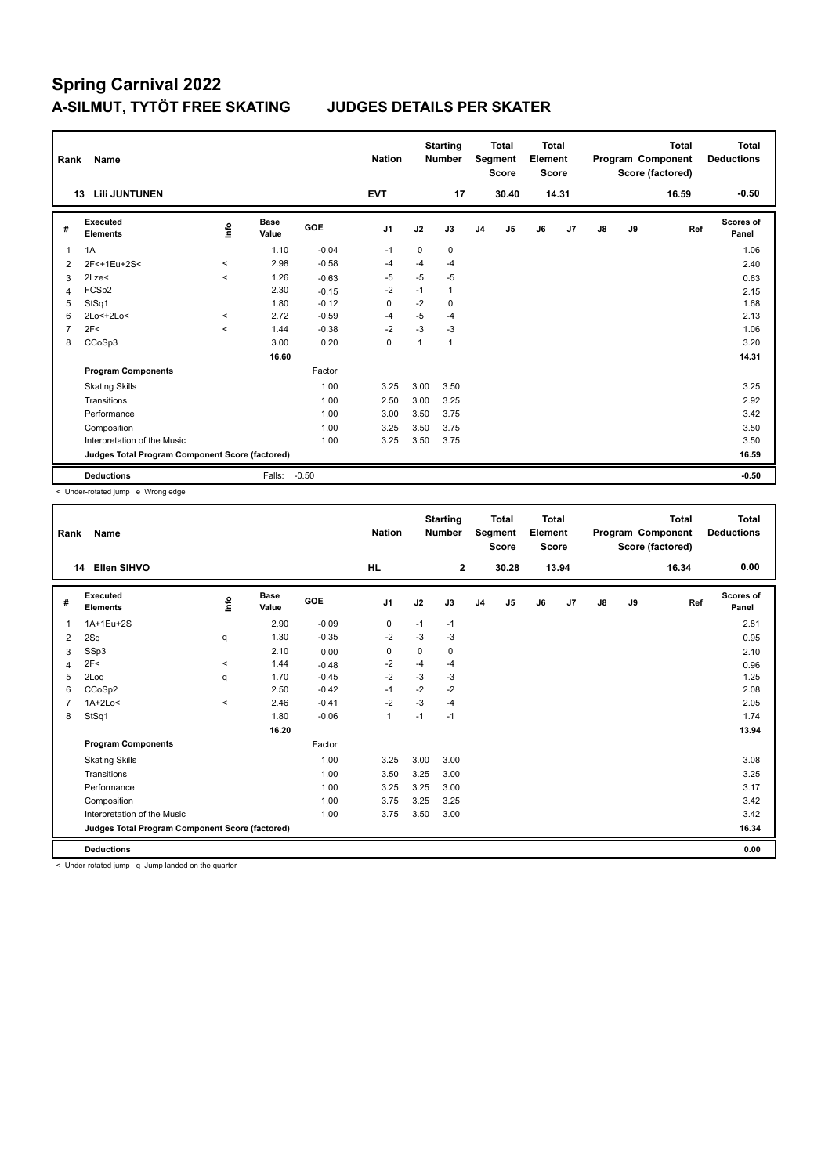| Rank           | Name                                            |                     |                      |         | <b>Nation</b>  |             | <b>Starting</b><br><b>Number</b> |                | <b>Total</b><br>Segment<br><b>Score</b> | Total<br>Element<br><b>Score</b> |       |    |    | <b>Total</b><br>Program Component<br>Score (factored) | <b>Total</b><br><b>Deductions</b> |
|----------------|-------------------------------------------------|---------------------|----------------------|---------|----------------|-------------|----------------------------------|----------------|-----------------------------------------|----------------------------------|-------|----|----|-------------------------------------------------------|-----------------------------------|
|                | <b>Lili JUNTUNEN</b><br>13                      |                     |                      |         | <b>EVT</b>     |             | 17                               |                | 30.40                                   |                                  | 14.31 |    |    | 16.59                                                 | $-0.50$                           |
| #              | Executed<br><b>Elements</b>                     | ۴٥                  | <b>Base</b><br>Value | GOE     | J <sub>1</sub> | J2          | J3                               | J <sub>4</sub> | J <sub>5</sub>                          | J6                               | J7    | J8 | J9 | Ref                                                   | Scores of<br>Panel                |
| 1              | 1A                                              |                     | 1.10                 | $-0.04$ | $-1$           | $\mathbf 0$ | 0                                |                |                                         |                                  |       |    |    |                                                       | 1.06                              |
| $\overline{2}$ | 2F<+1Eu+2S<                                     | $\hat{\phantom{a}}$ | 2.98                 | $-0.58$ | $-4$           | $-4$        | $-4$                             |                |                                         |                                  |       |    |    |                                                       | 2.40                              |
| 3              | 2Lze<                                           | $\prec$             | 1.26                 | $-0.63$ | $-5$           | $-5$        | $-5$                             |                |                                         |                                  |       |    |    |                                                       | 0.63                              |
| $\overline{4}$ | FCSp2                                           |                     | 2.30                 | $-0.15$ | $-2$           | $-1$        | $\mathbf{1}$                     |                |                                         |                                  |       |    |    |                                                       | 2.15                              |
| 5              | StSq1                                           |                     | 1.80                 | $-0.12$ | $\mathbf 0$    | $-2$        | 0                                |                |                                         |                                  |       |    |    |                                                       | 1.68                              |
| 6              | 2Lo<+2Lo<                                       | $\prec$             | 2.72                 | $-0.59$ | $-4$           | $-5$        | $-4$                             |                |                                         |                                  |       |    |    |                                                       | 2.13                              |
| 7              | 2F<                                             | $\prec$             | 1.44                 | $-0.38$ | $-2$           | $-3$        | $-3$                             |                |                                         |                                  |       |    |    |                                                       | 1.06                              |
| 8              | CCoSp3                                          |                     | 3.00                 | 0.20    | 0              | 1           | $\mathbf{1}$                     |                |                                         |                                  |       |    |    |                                                       | 3.20                              |
|                |                                                 |                     | 16.60                |         |                |             |                                  |                |                                         |                                  |       |    |    |                                                       | 14.31                             |
|                | <b>Program Components</b>                       |                     |                      | Factor  |                |             |                                  |                |                                         |                                  |       |    |    |                                                       |                                   |
|                | <b>Skating Skills</b>                           |                     |                      | 1.00    | 3.25           | 3.00        | 3.50                             |                |                                         |                                  |       |    |    |                                                       | 3.25                              |
|                | Transitions                                     |                     |                      | 1.00    | 2.50           | 3.00        | 3.25                             |                |                                         |                                  |       |    |    |                                                       | 2.92                              |
|                | Performance                                     |                     |                      | 1.00    | 3.00           | 3.50        | 3.75                             |                |                                         |                                  |       |    |    |                                                       | 3.42                              |
|                | Composition                                     |                     |                      | 1.00    | 3.25           | 3.50        | 3.75                             |                |                                         |                                  |       |    |    |                                                       | 3.50                              |
|                | Interpretation of the Music                     |                     |                      | 1.00    | 3.25           | 3.50        | 3.75                             |                |                                         |                                  |       |    |    |                                                       | 3.50                              |
|                | Judges Total Program Component Score (factored) |                     |                      |         |                |             |                                  |                |                                         |                                  |       |    |    |                                                       | 16.59                             |
|                | <b>Deductions</b>                               |                     | Falls:               | $-0.50$ |                |             |                                  |                |                                         |                                  |       |    |    |                                                       | $-0.50$                           |

< Under-rotated jump e Wrong edge

| Rank | <b>Name</b>                                     |          |               |         | <b>Nation</b>  |             | <b>Starting</b><br><b>Number</b> |                | Total<br>Segment<br><b>Score</b> | <b>Total</b><br>Element<br><b>Score</b> |       |    |    | <b>Total</b><br>Program Component<br>Score (factored) | <b>Total</b><br><b>Deductions</b> |
|------|-------------------------------------------------|----------|---------------|---------|----------------|-------------|----------------------------------|----------------|----------------------------------|-----------------------------------------|-------|----|----|-------------------------------------------------------|-----------------------------------|
|      | 14 Ellen SIHVO                                  |          |               |         | <b>HL</b>      |             | $\overline{2}$                   |                | 30.28                            |                                         | 13.94 |    |    | 16.34                                                 | 0.00                              |
| #    | Executed<br><b>Elements</b>                     | lnfo     | Base<br>Value | GOE     | J <sub>1</sub> | J2          | J3                               | J <sub>4</sub> | J <sub>5</sub>                   | J6                                      | J7    | J8 | J9 | Ref                                                   | Scores of<br>Panel                |
| 1    | 1A+1Eu+2S                                       |          | 2.90          | $-0.09$ | 0              | $-1$        | $-1$                             |                |                                  |                                         |       |    |    |                                                       | 2.81                              |
| 2    | 2Sq                                             | q        | 1.30          | $-0.35$ | $-2$           | -3          | $-3$                             |                |                                  |                                         |       |    |    |                                                       | 0.95                              |
| 3    | SSp3                                            |          | 2.10          | 0.00    | $\mathbf 0$    | $\mathbf 0$ | 0                                |                |                                  |                                         |       |    |    |                                                       | 2.10                              |
| 4    | 2F<                                             | $\hat{}$ | 1.44          | $-0.48$ | $-2$           | $-4$        | $-4$                             |                |                                  |                                         |       |    |    |                                                       | 0.96                              |
| 5    | 2Loq                                            | q        | 1.70          | $-0.45$ | $-2$           | -3          | $-3$                             |                |                                  |                                         |       |    |    |                                                       | 1.25                              |
| 6    | CCoSp2                                          |          | 2.50          | $-0.42$ | $-1$           | $-2$        | $-2$                             |                |                                  |                                         |       |    |    |                                                       | 2.08                              |
|      | $1A+2Lo<$                                       | $\hat{}$ | 2.46          | $-0.41$ | $-2$           | $-3$        | $-4$                             |                |                                  |                                         |       |    |    |                                                       | 2.05                              |
| 8    | StSq1                                           |          | 1.80          | $-0.06$ | $\mathbf{1}$   | $-1$        | $-1$                             |                |                                  |                                         |       |    |    |                                                       | 1.74                              |
|      |                                                 |          | 16.20         |         |                |             |                                  |                |                                  |                                         |       |    |    |                                                       | 13.94                             |
|      | <b>Program Components</b>                       |          |               | Factor  |                |             |                                  |                |                                  |                                         |       |    |    |                                                       |                                   |
|      | <b>Skating Skills</b>                           |          |               | 1.00    | 3.25           | 3.00        | 3.00                             |                |                                  |                                         |       |    |    |                                                       | 3.08                              |
|      | Transitions                                     |          |               | 1.00    | 3.50           | 3.25        | 3.00                             |                |                                  |                                         |       |    |    |                                                       | 3.25                              |
|      | Performance                                     |          |               | 1.00    | 3.25           | 3.25        | 3.00                             |                |                                  |                                         |       |    |    |                                                       | 3.17                              |
|      | Composition                                     |          |               | 1.00    | 3.75           | 3.25        | 3.25                             |                |                                  |                                         |       |    |    |                                                       | 3.42                              |
|      | Interpretation of the Music                     |          |               | 1.00    | 3.75           | 3.50        | 3.00                             |                |                                  |                                         |       |    |    |                                                       | 3.42                              |
|      | Judges Total Program Component Score (factored) |          |               |         |                |             |                                  |                |                                  |                                         |       |    |    |                                                       | 16.34                             |
|      | <b>Deductions</b>                               |          |               |         |                |             |                                  |                |                                  |                                         |       |    |    |                                                       | 0.00                              |

< Under-rotated jump q Jump landed on the quarter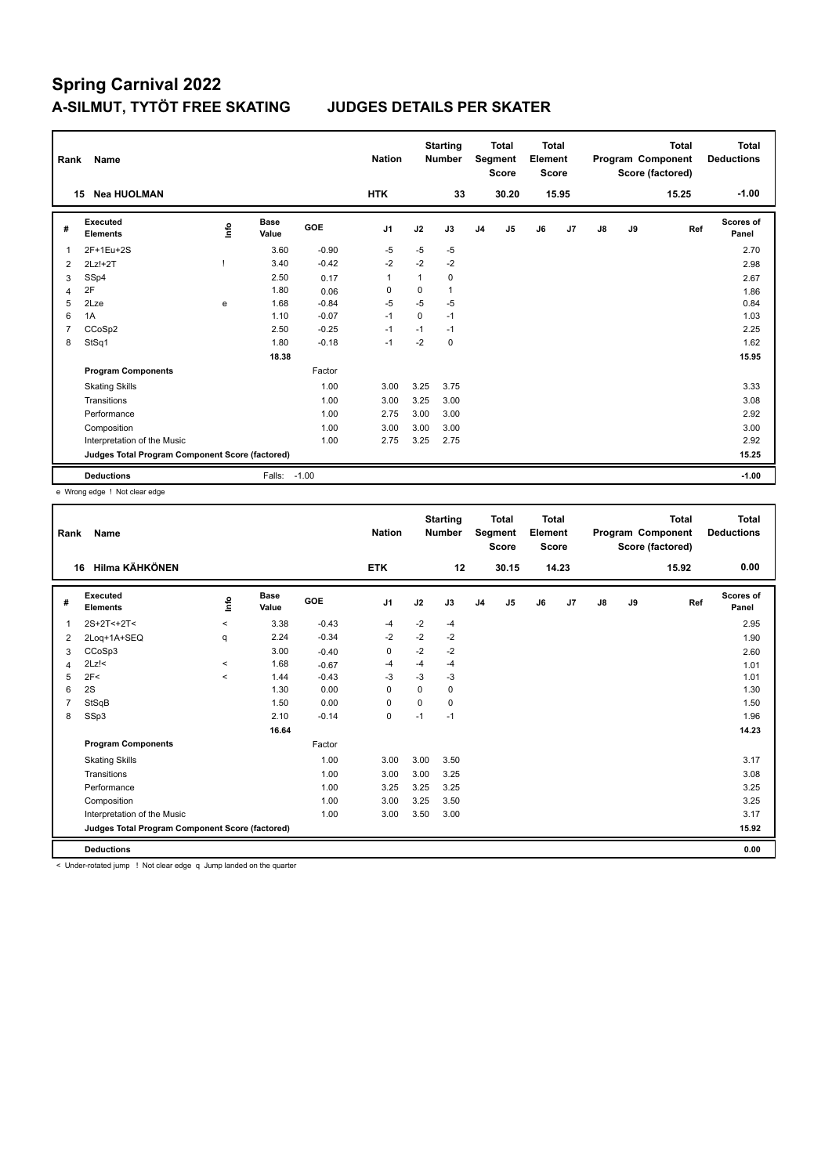| Rank           | Name                                            |      |                      |            | <b>Nation</b>  |      | <b>Starting</b><br><b>Number</b> |                | <b>Total</b><br>Segment<br><b>Score</b> | Total<br>Element<br><b>Score</b> |       |    |    | <b>Total</b><br>Program Component<br>Score (factored) | <b>Total</b><br><b>Deductions</b> |
|----------------|-------------------------------------------------|------|----------------------|------------|----------------|------|----------------------------------|----------------|-----------------------------------------|----------------------------------|-------|----|----|-------------------------------------------------------|-----------------------------------|
|                | <b>Nea HUOLMAN</b><br>15                        |      |                      |            | <b>HTK</b>     |      | 33                               |                | 30.20                                   |                                  | 15.95 |    |    | 15.25                                                 | $-1.00$                           |
| #              | Executed<br><b>Elements</b>                     | ١nfo | <b>Base</b><br>Value | <b>GOE</b> | J <sub>1</sub> | J2   | J3                               | J <sub>4</sub> | J5                                      | J6                               | J7    | J8 | J9 | Ref                                                   | Scores of<br>Panel                |
| 1              | 2F+1Eu+2S                                       |      | 3.60                 | $-0.90$    | $-5$           | $-5$ | $-5$                             |                |                                         |                                  |       |    |    |                                                       | 2.70                              |
| 2              | $2Lz!+2T$                                       |      | 3.40                 | $-0.42$    | $-2$           | $-2$ | $-2$                             |                |                                         |                                  |       |    |    |                                                       | 2.98                              |
| 3              | SSp4                                            |      | 2.50                 | 0.17       | $\mathbf{1}$   | 1    | $\Omega$                         |                |                                         |                                  |       |    |    |                                                       | 2.67                              |
| 4              | 2F                                              |      | 1.80                 | 0.06       | 0              | 0    | 1                                |                |                                         |                                  |       |    |    |                                                       | 1.86                              |
| 5              | 2Lze                                            | e    | 1.68                 | $-0.84$    | $-5$           | $-5$ | $-5$                             |                |                                         |                                  |       |    |    |                                                       | 0.84                              |
| 6              | 1A                                              |      | 1.10                 | $-0.07$    | $-1$           | 0    | $-1$                             |                |                                         |                                  |       |    |    |                                                       | 1.03                              |
| $\overline{7}$ | CCoSp2                                          |      | 2.50                 | $-0.25$    | $-1$           | $-1$ | $-1$                             |                |                                         |                                  |       |    |    |                                                       | 2.25                              |
| 8              | StSq1                                           |      | 1.80                 | $-0.18$    | $-1$           | $-2$ | 0                                |                |                                         |                                  |       |    |    |                                                       | 1.62                              |
|                |                                                 |      | 18.38                |            |                |      |                                  |                |                                         |                                  |       |    |    |                                                       | 15.95                             |
|                | <b>Program Components</b>                       |      |                      | Factor     |                |      |                                  |                |                                         |                                  |       |    |    |                                                       |                                   |
|                | <b>Skating Skills</b>                           |      |                      | 1.00       | 3.00           | 3.25 | 3.75                             |                |                                         |                                  |       |    |    |                                                       | 3.33                              |
|                | Transitions                                     |      |                      | 1.00       | 3.00           | 3.25 | 3.00                             |                |                                         |                                  |       |    |    |                                                       | 3.08                              |
|                | Performance                                     |      |                      | 1.00       | 2.75           | 3.00 | 3.00                             |                |                                         |                                  |       |    |    |                                                       | 2.92                              |
|                | Composition                                     |      |                      | 1.00       | 3.00           | 3.00 | 3.00                             |                |                                         |                                  |       |    |    |                                                       | 3.00                              |
|                | Interpretation of the Music                     |      |                      | 1.00       | 2.75           | 3.25 | 2.75                             |                |                                         |                                  |       |    |    |                                                       | 2.92                              |
|                | Judges Total Program Component Score (factored) |      |                      |            |                |      |                                  |                |                                         |                                  |       |    |    |                                                       | 15.25                             |
|                | <b>Deductions</b>                               |      | Falls: -1.00         |            |                |      |                                  |                |                                         |                                  |       |    |    |                                                       | $-1.00$                           |

e Wrong edge ! Not clear edge

| Rank | Name                                            |             |                      |         | <b>Nation</b>  |      | <b>Starting</b><br><b>Number</b> |                | Total<br>Segment<br><b>Score</b> | <b>Total</b><br>Element<br><b>Score</b> |       |               |    | <b>Total</b><br>Program Component<br>Score (factored) | <b>Total</b><br><b>Deductions</b> |
|------|-------------------------------------------------|-------------|----------------------|---------|----------------|------|----------------------------------|----------------|----------------------------------|-----------------------------------------|-------|---------------|----|-------------------------------------------------------|-----------------------------------|
|      | Hilma KÄHKÖNEN<br>16                            |             |                      |         | <b>ETK</b>     |      | 12                               |                | 30.15                            |                                         | 14.23 |               |    | 15.92                                                 | 0.00                              |
| #    | Executed<br><b>Elements</b>                     | <u>info</u> | <b>Base</b><br>Value | GOE     | J <sub>1</sub> | J2   | J3                               | J <sub>4</sub> | J5                               | J6                                      | J7    | $\mathsf{J}8$ | J9 | Ref                                                   | Scores of<br>Panel                |
| 1    | $2S+2T<+2T<$                                    | $\hat{}$    | 3.38                 | $-0.43$ | $-4$           | $-2$ | $-4$                             |                |                                  |                                         |       |               |    |                                                       | 2.95                              |
| 2    | 2Loq+1A+SEQ                                     | q           | 2.24                 | $-0.34$ | $-2$           | $-2$ | $-2$                             |                |                                  |                                         |       |               |    |                                                       | 1.90                              |
| 3    | CCoSp3                                          |             | 3.00                 | $-0.40$ | 0              | $-2$ | $-2$                             |                |                                  |                                         |       |               |    |                                                       | 2.60                              |
| 4    | $2Lz$ !<                                        | $\hat{}$    | 1.68                 | $-0.67$ | $-4$           | $-4$ | $-4$                             |                |                                  |                                         |       |               |    |                                                       | 1.01                              |
| 5    | 2F<                                             | $\prec$     | 1.44                 | $-0.43$ | $-3$           | $-3$ | $-3$                             |                |                                  |                                         |       |               |    |                                                       | 1.01                              |
| 6    | 2S                                              |             | 1.30                 | 0.00    | 0              | 0    | 0                                |                |                                  |                                         |       |               |    |                                                       | 1.30                              |
|      | StSqB                                           |             | 1.50                 | 0.00    | 0              | 0    | 0                                |                |                                  |                                         |       |               |    |                                                       | 1.50                              |
| 8    | SSp3                                            |             | 2.10                 | $-0.14$ | $\mathbf 0$    | $-1$ | $-1$                             |                |                                  |                                         |       |               |    |                                                       | 1.96                              |
|      |                                                 |             | 16.64                |         |                |      |                                  |                |                                  |                                         |       |               |    |                                                       | 14.23                             |
|      | <b>Program Components</b>                       |             |                      | Factor  |                |      |                                  |                |                                  |                                         |       |               |    |                                                       |                                   |
|      | <b>Skating Skills</b>                           |             |                      | 1.00    | 3.00           | 3.00 | 3.50                             |                |                                  |                                         |       |               |    |                                                       | 3.17                              |
|      | Transitions                                     |             |                      | 1.00    | 3.00           | 3.00 | 3.25                             |                |                                  |                                         |       |               |    |                                                       | 3.08                              |
|      | Performance                                     |             |                      | 1.00    | 3.25           | 3.25 | 3.25                             |                |                                  |                                         |       |               |    |                                                       | 3.25                              |
|      | Composition                                     |             |                      | 1.00    | 3.00           | 3.25 | 3.50                             |                |                                  |                                         |       |               |    |                                                       | 3.25                              |
|      | Interpretation of the Music                     |             |                      | 1.00    | 3.00           | 3.50 | 3.00                             |                |                                  |                                         |       |               |    |                                                       | 3.17                              |
|      | Judges Total Program Component Score (factored) |             |                      |         |                |      |                                  |                |                                  |                                         |       |               |    |                                                       | 15.92                             |
|      | <b>Deductions</b>                               |             |                      |         |                |      |                                  |                |                                  |                                         |       |               |    |                                                       | 0.00                              |

< Under-rotated jump ! Not clear edge q Jump landed on the quarter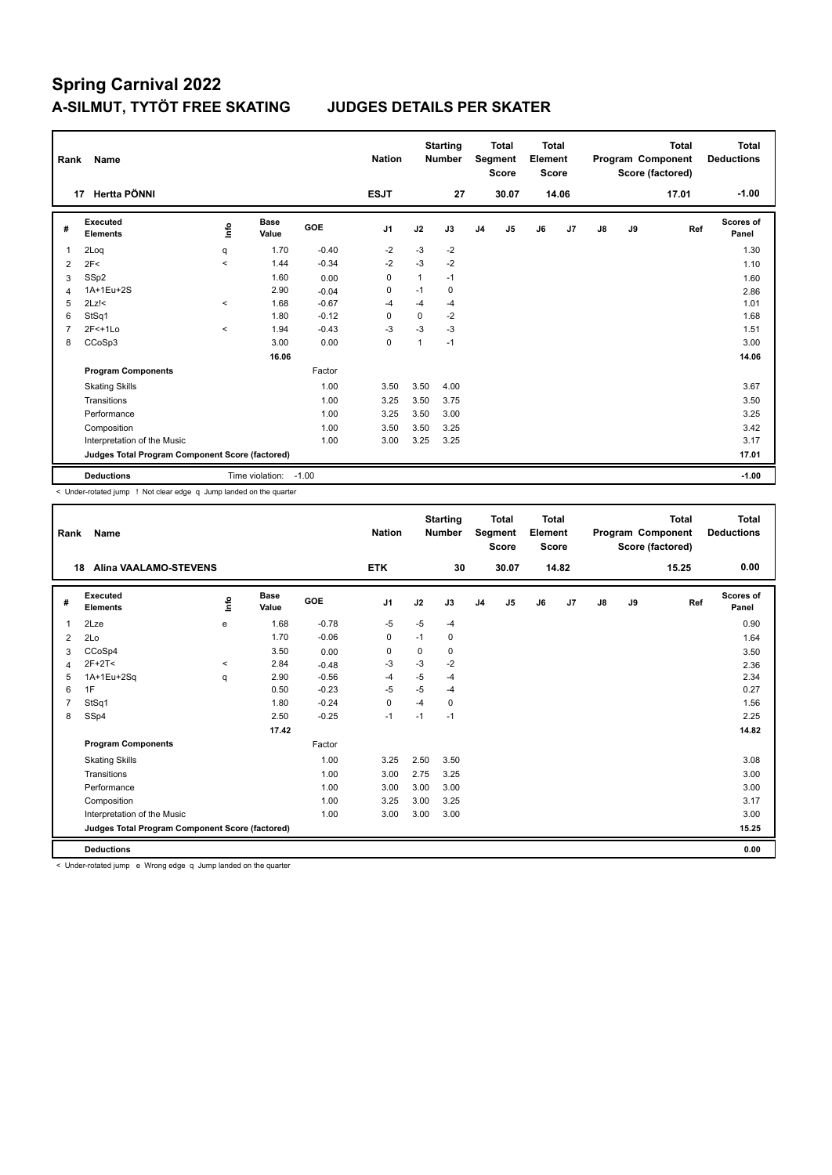| Rank           | Name                                            |         |                      |            | <b>Nation</b>  |          | <b>Starting</b><br><b>Number</b> |                | <b>Total</b><br>Segment<br><b>Score</b> | <b>Total</b><br>Element<br><b>Score</b> |                |    |    | <b>Total</b><br>Program Component<br>Score (factored) | <b>Total</b><br><b>Deductions</b> |
|----------------|-------------------------------------------------|---------|----------------------|------------|----------------|----------|----------------------------------|----------------|-----------------------------------------|-----------------------------------------|----------------|----|----|-------------------------------------------------------|-----------------------------------|
|                | Hertta PÖNNI<br>17                              |         |                      |            | <b>ESJT</b>    |          | 27                               |                | 30.07                                   |                                         | 14.06          |    |    | 17.01                                                 | $-1.00$                           |
| #              | Executed<br><b>Elements</b>                     | lnfo    | <b>Base</b><br>Value | <b>GOE</b> | J <sub>1</sub> | J2       | J3                               | J <sub>4</sub> | J <sub>5</sub>                          | J6                                      | J <sub>7</sub> | J8 | J9 | Ref                                                   | Scores of<br>Panel                |
| 1              | 2Loq                                            | q       | 1.70                 | $-0.40$    | $-2$           | $-3$     | $-2$                             |                |                                         |                                         |                |    |    |                                                       | 1.30                              |
| 2              | 2F<                                             | $\prec$ | 1.44                 | $-0.34$    | $-2$           | $-3$     | $-2$                             |                |                                         |                                         |                |    |    |                                                       | 1.10                              |
| 3              | SS <sub>p2</sub>                                |         | 1.60                 | 0.00       | 0              | 1        | $-1$                             |                |                                         |                                         |                |    |    |                                                       | 1.60                              |
| 4              | 1A+1Eu+2S                                       |         | 2.90                 | $-0.04$    | 0              | $-1$     | 0                                |                |                                         |                                         |                |    |    |                                                       | 2.86                              |
| 5              | $2Lz$ !<                                        | $\prec$ | 1.68                 | $-0.67$    | $-4$           | $-4$     | $-4$                             |                |                                         |                                         |                |    |    |                                                       | 1.01                              |
| 6              | StSq1                                           |         | 1.80                 | $-0.12$    | $\Omega$       | $\Omega$ | $-2$                             |                |                                         |                                         |                |    |    |                                                       | 1.68                              |
| $\overline{7}$ | $2F<+1Lo$                                       | $\prec$ | 1.94                 | $-0.43$    | $-3$           | $-3$     | $-3$                             |                |                                         |                                         |                |    |    |                                                       | 1.51                              |
| 8              | CCoSp3                                          |         | 3.00                 | 0.00       | $\mathbf 0$    | 1        | $-1$                             |                |                                         |                                         |                |    |    |                                                       | 3.00                              |
|                |                                                 |         | 16.06                |            |                |          |                                  |                |                                         |                                         |                |    |    |                                                       | 14.06                             |
|                | <b>Program Components</b>                       |         |                      | Factor     |                |          |                                  |                |                                         |                                         |                |    |    |                                                       |                                   |
|                | <b>Skating Skills</b>                           |         |                      | 1.00       | 3.50           | 3.50     | 4.00                             |                |                                         |                                         |                |    |    |                                                       | 3.67                              |
|                | Transitions                                     |         |                      | 1.00       | 3.25           | 3.50     | 3.75                             |                |                                         |                                         |                |    |    |                                                       | 3.50                              |
|                | Performance                                     |         |                      | 1.00       | 3.25           | 3.50     | 3.00                             |                |                                         |                                         |                |    |    |                                                       | 3.25                              |
|                | Composition                                     |         |                      | 1.00       | 3.50           | 3.50     | 3.25                             |                |                                         |                                         |                |    |    |                                                       | 3.42                              |
|                | Interpretation of the Music                     |         |                      | 1.00       | 3.00           | 3.25     | 3.25                             |                |                                         |                                         |                |    |    |                                                       | 3.17                              |
|                | Judges Total Program Component Score (factored) |         |                      |            |                |          |                                  |                |                                         |                                         |                |    |    |                                                       | 17.01                             |
|                | <b>Deductions</b>                               |         | Time violation:      | $-1.00$    |                |          |                                  |                |                                         |                                         |                |    |    |                                                       | $-1.00$                           |

< Under-rotated jump ! Not clear edge q Jump landed on the quarter

| Rank           | Name                                            |         |                      |         | <b>Nation</b>  |      | <b>Starting</b><br><b>Number</b> |                | <b>Total</b><br>Segment<br><b>Score</b> | <b>Total</b><br>Element<br><b>Score</b> |       |               |    | <b>Total</b><br>Program Component<br>Score (factored) | <b>Total</b><br><b>Deductions</b> |
|----------------|-------------------------------------------------|---------|----------------------|---------|----------------|------|----------------------------------|----------------|-----------------------------------------|-----------------------------------------|-------|---------------|----|-------------------------------------------------------|-----------------------------------|
| 18             | <b>Alina VAALAMO-STEVENS</b>                    |         |                      |         | <b>ETK</b>     |      | 30                               |                | 30.07                                   |                                         | 14.82 |               |    | 15.25                                                 | 0.00                              |
| #              | Executed<br><b>Elements</b>                     | ١m      | <b>Base</b><br>Value | GOE     | J <sub>1</sub> | J2   | J3                               | J <sub>4</sub> | J5                                      | J6                                      | J7    | $\mathsf{J}8$ | J9 | Ref                                                   | <b>Scores of</b><br>Panel         |
| $\mathbf{1}$   | 2Lze                                            | e       | 1.68                 | $-0.78$ | $-5$           | $-5$ | $-4$                             |                |                                         |                                         |       |               |    |                                                       | 0.90                              |
| 2              | 2Lo                                             |         | 1.70                 | $-0.06$ | 0              | $-1$ | 0                                |                |                                         |                                         |       |               |    |                                                       | 1.64                              |
| 3              | CCoSp4                                          |         | 3.50                 | 0.00    | $\mathbf 0$    | 0    | 0                                |                |                                         |                                         |       |               |    |                                                       | 3.50                              |
| 4              | $2F+2T<$                                        | $\prec$ | 2.84                 | $-0.48$ | -3             | $-3$ | $-2$                             |                |                                         |                                         |       |               |    |                                                       | 2.36                              |
| 5              | 1A+1Eu+2Sq                                      | q       | 2.90                 | $-0.56$ | $-4$           | $-5$ | $-4$                             |                |                                         |                                         |       |               |    |                                                       | 2.34                              |
| 6              | 1F                                              |         | 0.50                 | $-0.23$ | $-5$           | $-5$ | $-4$                             |                |                                         |                                         |       |               |    |                                                       | 0.27                              |
| $\overline{7}$ | StSq1                                           |         | 1.80                 | $-0.24$ | $\mathbf 0$    | $-4$ | 0                                |                |                                         |                                         |       |               |    |                                                       | 1.56                              |
| 8              | SSp4                                            |         | 2.50                 | $-0.25$ | $-1$           | $-1$ | $-1$                             |                |                                         |                                         |       |               |    |                                                       | 2.25                              |
|                |                                                 |         | 17.42                |         |                |      |                                  |                |                                         |                                         |       |               |    |                                                       | 14.82                             |
|                | <b>Program Components</b>                       |         |                      | Factor  |                |      |                                  |                |                                         |                                         |       |               |    |                                                       |                                   |
|                | <b>Skating Skills</b>                           |         |                      | 1.00    | 3.25           | 2.50 | 3.50                             |                |                                         |                                         |       |               |    |                                                       | 3.08                              |
|                | Transitions                                     |         |                      | 1.00    | 3.00           | 2.75 | 3.25                             |                |                                         |                                         |       |               |    |                                                       | 3.00                              |
|                | Performance                                     |         |                      | 1.00    | 3.00           | 3.00 | 3.00                             |                |                                         |                                         |       |               |    |                                                       | 3.00                              |
|                | Composition                                     |         |                      | 1.00    | 3.25           | 3.00 | 3.25                             |                |                                         |                                         |       |               |    |                                                       | 3.17                              |
|                | Interpretation of the Music                     |         |                      | 1.00    | 3.00           | 3.00 | 3.00                             |                |                                         |                                         |       |               |    |                                                       | 3.00                              |
|                | Judges Total Program Component Score (factored) |         |                      |         |                |      |                                  |                |                                         |                                         |       |               |    |                                                       | 15.25                             |
|                | <b>Deductions</b>                               |         |                      |         |                |      |                                  |                |                                         |                                         |       |               |    |                                                       | 0.00                              |

< Under-rotated jump e Wrong edge q Jump landed on the quarter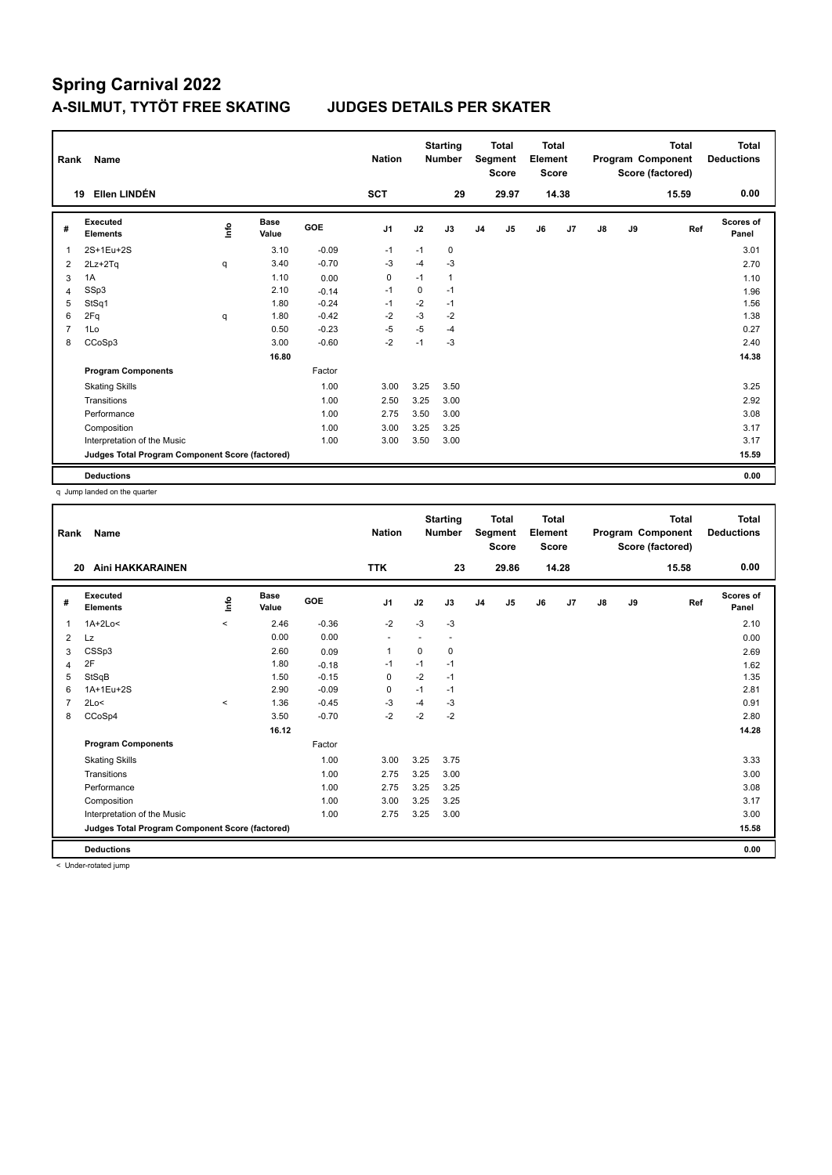| Rank           | Name                                            |      |                      |            | <b>Nation</b> |             | <b>Starting</b><br><b>Number</b> |                | <b>Total</b><br>Segment<br><b>Score</b> | <b>Total</b><br>Element<br><b>Score</b> |       |    |    | <b>Total</b><br>Program Component<br>Score (factored) | Total<br><b>Deductions</b> |
|----------------|-------------------------------------------------|------|----------------------|------------|---------------|-------------|----------------------------------|----------------|-----------------------------------------|-----------------------------------------|-------|----|----|-------------------------------------------------------|----------------------------|
|                | Ellen LINDÉN<br>19                              |      |                      |            | <b>SCT</b>    |             | 29                               |                | 29.97                                   |                                         | 14.38 |    |    | 15.59                                                 | 0.00                       |
| #              | <b>Executed</b><br><b>Elements</b>              | lnfo | <b>Base</b><br>Value | <b>GOE</b> | J1            | J2          | J3                               | J <sub>4</sub> | J5                                      | J6                                      | J7    | J8 | J9 | Ref                                                   | Scores of<br>Panel         |
| 1              | 2S+1Eu+2S                                       |      | 3.10                 | $-0.09$    | $-1$          | $-1$        | 0                                |                |                                         |                                         |       |    |    |                                                       | 3.01                       |
| 2              | 2Lz+2Tq                                         | q    | 3.40                 | $-0.70$    | $-3$          | $-4$        | $-3$                             |                |                                         |                                         |       |    |    |                                                       | 2.70                       |
| 3              | 1A                                              |      | 1.10                 | 0.00       | 0             | $-1$        | $\mathbf{1}$                     |                |                                         |                                         |       |    |    |                                                       | 1.10                       |
| 4              | SSp3                                            |      | 2.10                 | $-0.14$    | $-1$          | $\mathbf 0$ | $-1$                             |                |                                         |                                         |       |    |    |                                                       | 1.96                       |
| 5              | StSq1                                           |      | 1.80                 | $-0.24$    | $-1$          | $-2$        | $-1$                             |                |                                         |                                         |       |    |    |                                                       | 1.56                       |
| 6              | 2Fq                                             | q    | 1.80                 | $-0.42$    | $-2$          | $-3$        | $-2$                             |                |                                         |                                         |       |    |    |                                                       | 1.38                       |
| $\overline{7}$ | 1Lo                                             |      | 0.50                 | $-0.23$    | $-5$          | $-5$        | $-4$                             |                |                                         |                                         |       |    |    |                                                       | 0.27                       |
| 8              | CCoSp3                                          |      | 3.00                 | $-0.60$    | $-2$          | $-1$        | $-3$                             |                |                                         |                                         |       |    |    |                                                       | 2.40                       |
|                |                                                 |      | 16.80                |            |               |             |                                  |                |                                         |                                         |       |    |    |                                                       | 14.38                      |
|                | <b>Program Components</b>                       |      |                      | Factor     |               |             |                                  |                |                                         |                                         |       |    |    |                                                       |                            |
|                | <b>Skating Skills</b>                           |      |                      | 1.00       | 3.00          | 3.25        | 3.50                             |                |                                         |                                         |       |    |    |                                                       | 3.25                       |
|                | Transitions                                     |      |                      | 1.00       | 2.50          | 3.25        | 3.00                             |                |                                         |                                         |       |    |    |                                                       | 2.92                       |
|                | Performance                                     |      |                      | 1.00       | 2.75          | 3.50        | 3.00                             |                |                                         |                                         |       |    |    |                                                       | 3.08                       |
|                | Composition                                     |      |                      | 1.00       | 3.00          | 3.25        | 3.25                             |                |                                         |                                         |       |    |    |                                                       | 3.17                       |
|                | Interpretation of the Music                     |      |                      | 1.00       | 3.00          | 3.50        | 3.00                             |                |                                         |                                         |       |    |    |                                                       | 3.17                       |
|                | Judges Total Program Component Score (factored) |      |                      |            |               |             |                                  |                |                                         |                                         |       |    |    |                                                       | 15.59                      |
|                | <b>Deductions</b>                               |      |                      |            |               |             |                                  |                |                                         |                                         |       |    |    |                                                       | 0.00                       |

q Jump landed on the quarter

| Rank | <b>Name</b>                                     |         |                      |         | <b>Nation</b> |      | <b>Starting</b><br><b>Number</b> |                | <b>Total</b><br>Segment<br><b>Score</b> | Total<br>Element<br><b>Score</b> |                |               |    | <b>Total</b><br>Program Component<br>Score (factored) | <b>Total</b><br><b>Deductions</b> |
|------|-------------------------------------------------|---------|----------------------|---------|---------------|------|----------------------------------|----------------|-----------------------------------------|----------------------------------|----------------|---------------|----|-------------------------------------------------------|-----------------------------------|
| 20   | Aini HAKKARAINEN                                |         |                      |         | <b>TTK</b>    |      | 23                               |                | 29.86                                   |                                  | 14.28          |               |    | 15.58                                                 | 0.00                              |
| #    | Executed<br><b>Elements</b>                     | Life    | <b>Base</b><br>Value | GOE     | J1            | J2   | J3                               | J <sub>4</sub> | J <sub>5</sub>                          | J6                               | J <sub>7</sub> | $\mathsf{J}8$ | J9 | Ref                                                   | Scores of<br>Panel                |
| 1    | $1A+2Lo<$                                       | $\prec$ | 2.46                 | $-0.36$ | $-2$          | $-3$ | $-3$                             |                |                                         |                                  |                |               |    |                                                       | 2.10                              |
| 2    | Lz                                              |         | 0.00                 | 0.00    | ٠             |      | $\overline{\phantom{a}}$         |                |                                         |                                  |                |               |    |                                                       | 0.00                              |
| 3    | CSSp3                                           |         | 2.60                 | 0.09    | 1             | 0    | 0                                |                |                                         |                                  |                |               |    |                                                       | 2.69                              |
| 4    | 2F                                              |         | 1.80                 | $-0.18$ | -1            | $-1$ | $-1$                             |                |                                         |                                  |                |               |    |                                                       | 1.62                              |
| 5    | StSqB                                           |         | 1.50                 | $-0.15$ | $\mathbf 0$   | $-2$ | $-1$                             |                |                                         |                                  |                |               |    |                                                       | 1.35                              |
| 6    | 1A+1Eu+2S                                       |         | 2.90                 | $-0.09$ | 0             | $-1$ | $-1$                             |                |                                         |                                  |                |               |    |                                                       | 2.81                              |
|      | 2Lo<                                            | $\prec$ | 1.36                 | $-0.45$ | -3            | -4   | $-3$                             |                |                                         |                                  |                |               |    |                                                       | 0.91                              |
| 8    | CCoSp4                                          |         | 3.50                 | $-0.70$ | $-2$          | $-2$ | $-2$                             |                |                                         |                                  |                |               |    |                                                       | 2.80                              |
|      |                                                 |         | 16.12                |         |               |      |                                  |                |                                         |                                  |                |               |    |                                                       | 14.28                             |
|      | <b>Program Components</b>                       |         |                      | Factor  |               |      |                                  |                |                                         |                                  |                |               |    |                                                       |                                   |
|      | <b>Skating Skills</b>                           |         |                      | 1.00    | 3.00          | 3.25 | 3.75                             |                |                                         |                                  |                |               |    |                                                       | 3.33                              |
|      | Transitions                                     |         |                      | 1.00    | 2.75          | 3.25 | 3.00                             |                |                                         |                                  |                |               |    |                                                       | 3.00                              |
|      | Performance                                     |         |                      | 1.00    | 2.75          | 3.25 | 3.25                             |                |                                         |                                  |                |               |    |                                                       | 3.08                              |
|      | Composition                                     |         |                      | 1.00    | 3.00          | 3.25 | 3.25                             |                |                                         |                                  |                |               |    |                                                       | 3.17                              |
|      | Interpretation of the Music                     |         |                      | 1.00    | 2.75          | 3.25 | 3.00                             |                |                                         |                                  |                |               |    |                                                       | 3.00                              |
|      | Judges Total Program Component Score (factored) |         |                      |         |               |      |                                  |                |                                         |                                  |                |               |    |                                                       | 15.58                             |
|      | <b>Deductions</b>                               |         |                      |         |               |      |                                  |                |                                         |                                  |                |               |    |                                                       | 0.00                              |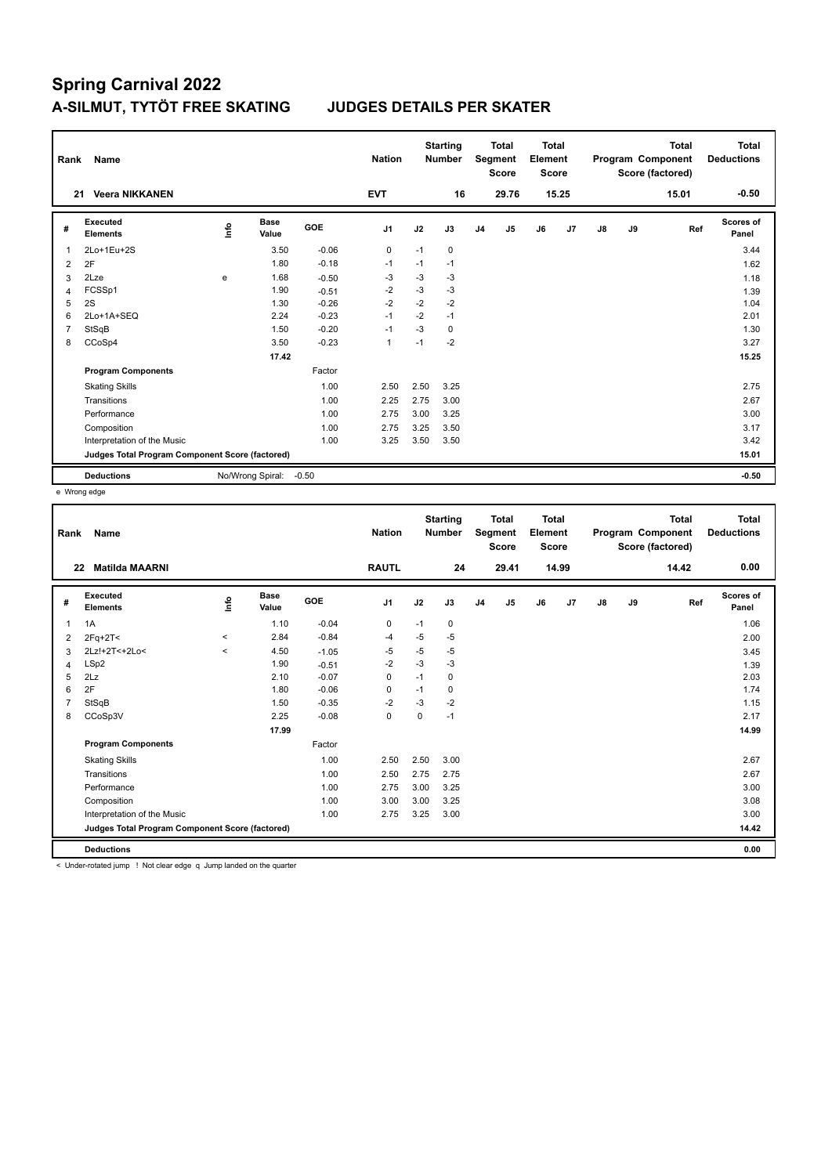| Rank           | Name                                            |             |                      |            | <b>Nation</b> |      | <b>Starting</b><br><b>Number</b> |                | <b>Total</b><br>Segment<br><b>Score</b> | Total<br>Element<br><b>Score</b> |       |               |    | <b>Total</b><br>Program Component<br>Score (factored) | <b>Total</b><br><b>Deductions</b> |
|----------------|-------------------------------------------------|-------------|----------------------|------------|---------------|------|----------------------------------|----------------|-----------------------------------------|----------------------------------|-------|---------------|----|-------------------------------------------------------|-----------------------------------|
|                | <b>Veera NIKKANEN</b><br>21                     |             |                      |            | <b>EVT</b>    |      | 16                               |                | 29.76                                   |                                  | 15.25 |               |    | 15.01                                                 | $-0.50$                           |
| #              | Executed<br><b>Elements</b>                     | <u>info</u> | <b>Base</b><br>Value | <b>GOE</b> | J1            | J2   | J3                               | J <sub>4</sub> | J5                                      | J6                               | J7    | $\mathsf{J}8$ | J9 | Ref                                                   | <b>Scores of</b><br>Panel         |
| $\overline{1}$ | 2Lo+1Eu+2S                                      |             | 3.50                 | $-0.06$    | 0             | $-1$ | 0                                |                |                                         |                                  |       |               |    |                                                       | 3.44                              |
| 2              | 2F                                              |             | 1.80                 | $-0.18$    | $-1$          | $-1$ | $-1$                             |                |                                         |                                  |       |               |    |                                                       | 1.62                              |
| 3              | 2Lze                                            | e           | 1.68                 | $-0.50$    | -3            | $-3$ | $-3$                             |                |                                         |                                  |       |               |    |                                                       | 1.18                              |
| $\overline{4}$ | FCSSp1                                          |             | 1.90                 | $-0.51$    | $-2$          | $-3$ | $-3$                             |                |                                         |                                  |       |               |    |                                                       | 1.39                              |
| 5              | 2S                                              |             | 1.30                 | $-0.26$    | $-2$          | $-2$ | $-2$                             |                |                                         |                                  |       |               |    |                                                       | 1.04                              |
| 6              | 2Lo+1A+SEQ                                      |             | 2.24                 | $-0.23$    | $-1$          | $-2$ | $-1$                             |                |                                         |                                  |       |               |    |                                                       | 2.01                              |
| $\overline{7}$ | StSqB                                           |             | 1.50                 | $-0.20$    | $-1$          | $-3$ | 0                                |                |                                         |                                  |       |               |    |                                                       | 1.30                              |
| 8              | CCoSp4                                          |             | 3.50                 | $-0.23$    | $\mathbf{1}$  | $-1$ | $-2$                             |                |                                         |                                  |       |               |    |                                                       | 3.27                              |
|                |                                                 |             | 17.42                |            |               |      |                                  |                |                                         |                                  |       |               |    |                                                       | 15.25                             |
|                | <b>Program Components</b>                       |             |                      | Factor     |               |      |                                  |                |                                         |                                  |       |               |    |                                                       |                                   |
|                | <b>Skating Skills</b>                           |             |                      | 1.00       | 2.50          | 2.50 | 3.25                             |                |                                         |                                  |       |               |    |                                                       | 2.75                              |
|                | Transitions                                     |             |                      | 1.00       | 2.25          | 2.75 | 3.00                             |                |                                         |                                  |       |               |    |                                                       | 2.67                              |
|                | Performance                                     |             |                      | 1.00       | 2.75          | 3.00 | 3.25                             |                |                                         |                                  |       |               |    |                                                       | 3.00                              |
|                | Composition                                     |             |                      | 1.00       | 2.75          | 3.25 | 3.50                             |                |                                         |                                  |       |               |    |                                                       | 3.17                              |
|                | Interpretation of the Music                     |             |                      | 1.00       | 3.25          | 3.50 | 3.50                             |                |                                         |                                  |       |               |    |                                                       | 3.42                              |
|                | Judges Total Program Component Score (factored) |             |                      |            |               |      |                                  |                |                                         |                                  |       |               |    |                                                       | 15.01                             |
|                | <b>Deductions</b>                               |             | No/Wrong Spiral:     | $-0.50$    |               |      |                                  |                |                                         |                                  |       |               |    |                                                       | $-0.50$                           |

e Wrong edge

| Rank | <b>Name</b>                                     |         |                      |            | <b>Nation</b>  |      | <b>Starting</b><br><b>Number</b> |                | <b>Total</b><br>Segment<br><b>Score</b> | <b>Total</b><br>Element<br><b>Score</b> |                |               |    | <b>Total</b><br>Program Component<br>Score (factored) | <b>Total</b><br><b>Deductions</b> |
|------|-------------------------------------------------|---------|----------------------|------------|----------------|------|----------------------------------|----------------|-----------------------------------------|-----------------------------------------|----------------|---------------|----|-------------------------------------------------------|-----------------------------------|
|      | <b>Matilda MAARNI</b><br>22                     |         |                      |            | <b>RAUTL</b>   |      | 24                               |                | 29.41                                   |                                         | 14.99          |               |    | 14.42                                                 | 0.00                              |
| #    | Executed<br><b>Elements</b>                     | lnfo    | <b>Base</b><br>Value | <b>GOE</b> | J <sub>1</sub> | J2   | J3                               | J <sub>4</sub> | J <sub>5</sub>                          | J6                                      | J <sub>7</sub> | $\mathsf{J}8$ | J9 | Ref                                                   | Scores of<br>Panel                |
| 1    | 1A                                              |         | 1.10                 | $-0.04$    | 0              | $-1$ | 0                                |                |                                         |                                         |                |               |    |                                                       | 1.06                              |
| 2    | $2Fq+2T<$                                       | $\prec$ | 2.84                 | $-0.84$    | -4             | -5   | $-5$                             |                |                                         |                                         |                |               |    |                                                       | 2.00                              |
| 3    | 2Lz!+2T<+2Lo<                                   | $\prec$ | 4.50                 | $-1.05$    | $-5$           | $-5$ | $-5$                             |                |                                         |                                         |                |               |    |                                                       | 3.45                              |
| 4    | LSp2                                            |         | 1.90                 | $-0.51$    | $-2$           | $-3$ | $-3$                             |                |                                         |                                         |                |               |    |                                                       | 1.39                              |
| 5    | 2Lz                                             |         | 2.10                 | $-0.07$    | 0              | $-1$ | 0                                |                |                                         |                                         |                |               |    |                                                       | 2.03                              |
| 6    | 2F                                              |         | 1.80                 | $-0.06$    | 0              | $-1$ | 0                                |                |                                         |                                         |                |               |    |                                                       | 1.74                              |
| 7    | StSqB                                           |         | 1.50                 | $-0.35$    | $-2$           | -3   | $-2$                             |                |                                         |                                         |                |               |    |                                                       | 1.15                              |
| 8    | CCoSp3V                                         |         | 2.25                 | $-0.08$    | $\pmb{0}$      | 0    | $-1$                             |                |                                         |                                         |                |               |    |                                                       | 2.17                              |
|      |                                                 |         | 17.99                |            |                |      |                                  |                |                                         |                                         |                |               |    |                                                       | 14.99                             |
|      | <b>Program Components</b>                       |         |                      | Factor     |                |      |                                  |                |                                         |                                         |                |               |    |                                                       |                                   |
|      | <b>Skating Skills</b>                           |         |                      | 1.00       | 2.50           | 2.50 | 3.00                             |                |                                         |                                         |                |               |    |                                                       | 2.67                              |
|      | Transitions                                     |         |                      | 1.00       | 2.50           | 2.75 | 2.75                             |                |                                         |                                         |                |               |    |                                                       | 2.67                              |
|      | Performance                                     |         |                      | 1.00       | 2.75           | 3.00 | 3.25                             |                |                                         |                                         |                |               |    |                                                       | 3.00                              |
|      | Composition                                     |         |                      | 1.00       | 3.00           | 3.00 | 3.25                             |                |                                         |                                         |                |               |    |                                                       | 3.08                              |
|      | Interpretation of the Music                     |         |                      | 1.00       | 2.75           | 3.25 | 3.00                             |                |                                         |                                         |                |               |    |                                                       | 3.00                              |
|      | Judges Total Program Component Score (factored) |         |                      |            |                |      |                                  |                |                                         |                                         |                |               |    |                                                       | 14.42                             |
|      | <b>Deductions</b>                               |         |                      |            |                |      |                                  |                |                                         |                                         |                |               |    |                                                       | 0.00                              |

< Under-rotated jump ! Not clear edge q Jump landed on the quarter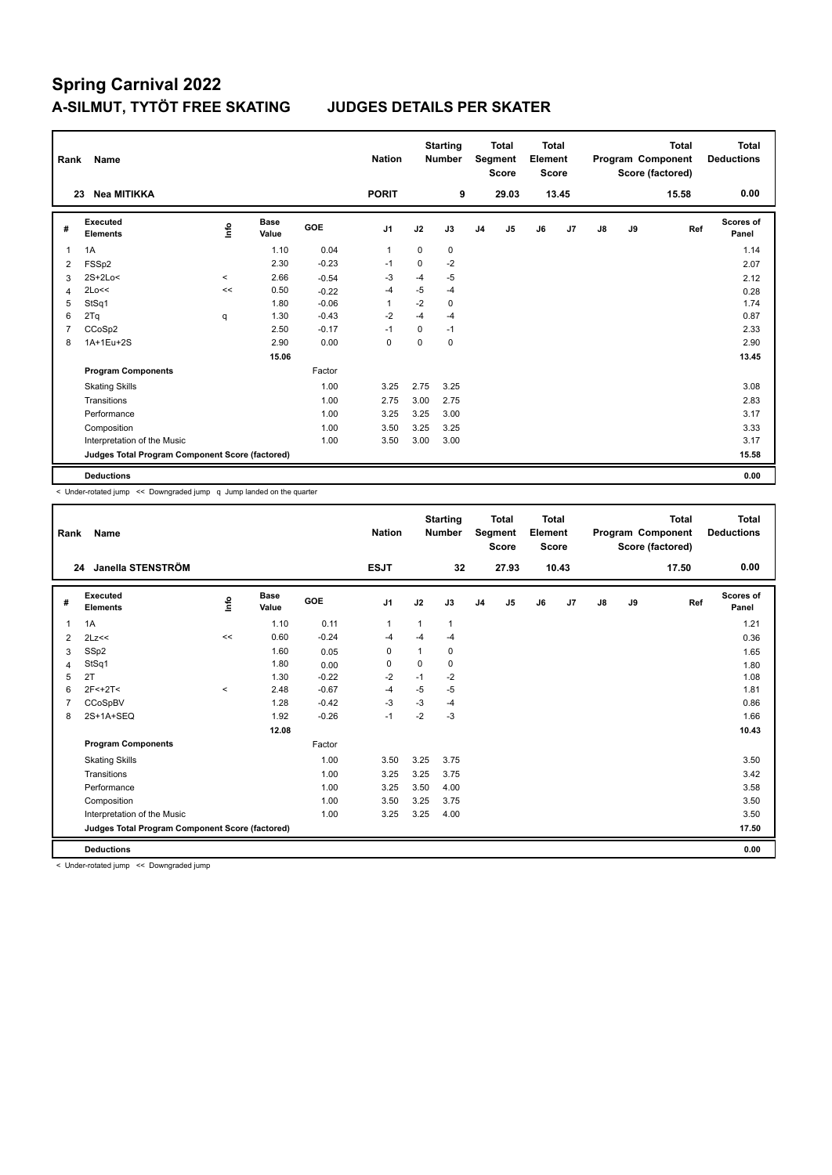| Rank | Name                                            |       |               |            | <b>Nation</b>  |             | <b>Starting</b><br><b>Number</b> |                | <b>Total</b><br>Segment<br><b>Score</b> | <b>Total</b><br>Element<br><b>Score</b> |       |    |    | <b>Total</b><br>Program Component<br>Score (factored) | Total<br><b>Deductions</b> |
|------|-------------------------------------------------|-------|---------------|------------|----------------|-------------|----------------------------------|----------------|-----------------------------------------|-----------------------------------------|-------|----|----|-------------------------------------------------------|----------------------------|
|      | <b>Nea MITIKKA</b><br>23                        |       |               |            | <b>PORIT</b>   |             | 9                                |                | 29.03                                   |                                         | 13.45 |    |    | 15.58                                                 | 0.00                       |
| #    | Executed<br><b>Elements</b>                     | ١nfo  | Base<br>Value | <b>GOE</b> | J <sub>1</sub> | J2          | J3                               | J <sub>4</sub> | J <sub>5</sub>                          | J6                                      | J7    | J8 | J9 | Ref                                                   | Scores of<br>Panel         |
| 1    | 1A                                              |       | 1.10          | 0.04       | $\overline{1}$ | $\mathbf 0$ | 0                                |                |                                         |                                         |       |    |    |                                                       | 1.14                       |
| 2    | FSS <sub>p2</sub>                               |       | 2.30          | $-0.23$    | $-1$           | 0           | $-2$                             |                |                                         |                                         |       |    |    |                                                       | 2.07                       |
| 3    | $2S+2Lo<$                                       | $\,<$ | 2.66          | $-0.54$    | -3             | $-4$        | $-5$                             |                |                                         |                                         |       |    |    |                                                       | 2.12                       |
| 4    | 2Lo<<                                           | <<    | 0.50          | $-0.22$    | $-4$           | $-5$        | $-4$                             |                |                                         |                                         |       |    |    |                                                       | 0.28                       |
| 5    | StSq1                                           |       | 1.80          | $-0.06$    | $\overline{1}$ | $-2$        | 0                                |                |                                         |                                         |       |    |    |                                                       | 1.74                       |
| 6    | 2Tq                                             | q     | 1.30          | $-0.43$    | $-2$           | $-4$        | $-4$                             |                |                                         |                                         |       |    |    |                                                       | 0.87                       |
| 7    | CCoSp2                                          |       | 2.50          | $-0.17$    | $-1$           | $\Omega$    | $-1$                             |                |                                         |                                         |       |    |    |                                                       | 2.33                       |
| 8    | 1A+1Eu+2S                                       |       | 2.90          | 0.00       | 0              | 0           | 0                                |                |                                         |                                         |       |    |    |                                                       | 2.90                       |
|      |                                                 |       | 15.06         |            |                |             |                                  |                |                                         |                                         |       |    |    |                                                       | 13.45                      |
|      | <b>Program Components</b>                       |       |               | Factor     |                |             |                                  |                |                                         |                                         |       |    |    |                                                       |                            |
|      | <b>Skating Skills</b>                           |       |               | 1.00       | 3.25           | 2.75        | 3.25                             |                |                                         |                                         |       |    |    |                                                       | 3.08                       |
|      | Transitions                                     |       |               | 1.00       | 2.75           | 3.00        | 2.75                             |                |                                         |                                         |       |    |    |                                                       | 2.83                       |
|      | Performance                                     |       |               | 1.00       | 3.25           | 3.25        | 3.00                             |                |                                         |                                         |       |    |    |                                                       | 3.17                       |
|      | Composition                                     |       |               | 1.00       | 3.50           | 3.25        | 3.25                             |                |                                         |                                         |       |    |    |                                                       | 3.33                       |
|      | Interpretation of the Music                     |       |               | 1.00       | 3.50           | 3.00        | 3.00                             |                |                                         |                                         |       |    |    |                                                       | 3.17                       |
|      | Judges Total Program Component Score (factored) |       |               |            |                |             |                                  |                |                                         |                                         |       |    |    |                                                       | 15.58                      |
|      | <b>Deductions</b>                               |       |               |            |                |             |                                  |                |                                         |                                         |       |    |    |                                                       | 0.00                       |

< Under-rotated jump << Downgraded jump q Jump landed on the quarter

| Rank           | Name                                            |          |                      |         | <b>Nation</b>  |      | <b>Starting</b><br><b>Number</b> |                | <b>Total</b><br>Segment<br><b>Score</b> | <b>Total</b><br>Element<br><b>Score</b> |       |               |    | <b>Total</b><br>Program Component<br>Score (factored) | <b>Total</b><br><b>Deductions</b> |
|----------------|-------------------------------------------------|----------|----------------------|---------|----------------|------|----------------------------------|----------------|-----------------------------------------|-----------------------------------------|-------|---------------|----|-------------------------------------------------------|-----------------------------------|
| 24             | Janella STENSTRÖM                               |          |                      |         | <b>ESJT</b>    |      | 32                               |                | 27.93                                   |                                         | 10.43 |               |    | 17.50                                                 | 0.00                              |
| #              | Executed<br><b>Elements</b>                     | Life     | <b>Base</b><br>Value | GOE     | J <sub>1</sub> | J2   | J3                               | J <sub>4</sub> | J5                                      | J6                                      | J7    | $\mathsf{J}8$ | J9 | Ref                                                   | <b>Scores of</b><br>Panel         |
| $\mathbf{1}$   | 1A                                              |          | 1.10                 | 0.11    | $\mathbf{1}$   | 1    | $\mathbf{1}$                     |                |                                         |                                         |       |               |    |                                                       | 1.21                              |
| 2              | 2Lz<<                                           | <<       | 0.60                 | $-0.24$ | $-4$           | $-4$ | $-4$                             |                |                                         |                                         |       |               |    |                                                       | 0.36                              |
| 3              | SSp2                                            |          | 1.60                 | 0.05    | 0              |      | 0                                |                |                                         |                                         |       |               |    |                                                       | 1.65                              |
| $\overline{4}$ | StSq1                                           |          | 1.80                 | 0.00    | 0              | 0    | 0                                |                |                                         |                                         |       |               |    |                                                       | 1.80                              |
| 5              | 2T                                              |          | 1.30                 | $-0.22$ | $-2$           | $-1$ | $-2$                             |                |                                         |                                         |       |               |    |                                                       | 1.08                              |
| 6              | 2F<+2T<                                         | $\hat{}$ | 2.48                 | $-0.67$ | $-4$           | $-5$ | $-5$                             |                |                                         |                                         |       |               |    |                                                       | 1.81                              |
| 7              | CCoSpBV                                         |          | 1.28                 | $-0.42$ | -3             | $-3$ | $-4$                             |                |                                         |                                         |       |               |    |                                                       | 0.86                              |
| 8              | 2S+1A+SEQ                                       |          | 1.92                 | $-0.26$ | $-1$           | $-2$ | $-3$                             |                |                                         |                                         |       |               |    |                                                       | 1.66                              |
|                |                                                 |          | 12.08                |         |                |      |                                  |                |                                         |                                         |       |               |    |                                                       | 10.43                             |
|                | <b>Program Components</b>                       |          |                      | Factor  |                |      |                                  |                |                                         |                                         |       |               |    |                                                       |                                   |
|                | <b>Skating Skills</b>                           |          |                      | 1.00    | 3.50           | 3.25 | 3.75                             |                |                                         |                                         |       |               |    |                                                       | 3.50                              |
|                | Transitions                                     |          |                      | 1.00    | 3.25           | 3.25 | 3.75                             |                |                                         |                                         |       |               |    |                                                       | 3.42                              |
|                | Performance                                     |          |                      | 1.00    | 3.25           | 3.50 | 4.00                             |                |                                         |                                         |       |               |    |                                                       | 3.58                              |
|                | Composition                                     |          |                      | 1.00    | 3.50           | 3.25 | 3.75                             |                |                                         |                                         |       |               |    |                                                       | 3.50                              |
|                | Interpretation of the Music                     |          |                      | 1.00    | 3.25           | 3.25 | 4.00                             |                |                                         |                                         |       |               |    |                                                       | 3.50                              |
|                | Judges Total Program Component Score (factored) |          |                      |         |                |      |                                  |                |                                         |                                         |       |               |    |                                                       | 17.50                             |
|                | <b>Deductions</b>                               |          |                      |         |                |      |                                  |                |                                         |                                         |       |               |    |                                                       | 0.00                              |

< Under-rotated jump << Downgraded jump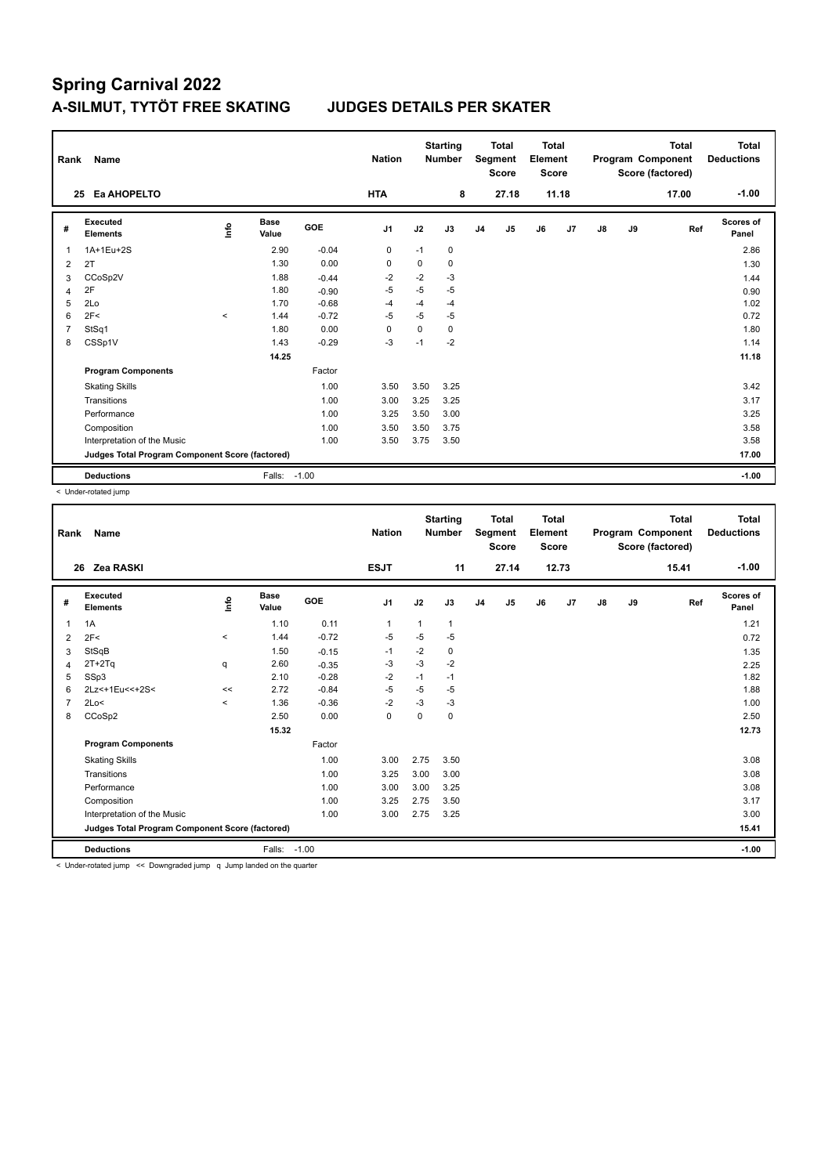| Rank           | Name                                            |         |                      |            | <b>Nation</b>  |      | <b>Starting</b><br><b>Number</b> |                | <b>Total</b><br>Segment<br><b>Score</b> | Total<br>Element<br><b>Score</b> |       |    |    | <b>Total</b><br>Program Component<br>Score (factored) | <b>Total</b><br><b>Deductions</b> |
|----------------|-------------------------------------------------|---------|----------------------|------------|----------------|------|----------------------------------|----------------|-----------------------------------------|----------------------------------|-------|----|----|-------------------------------------------------------|-----------------------------------|
|                | Ea AHOPELTO<br>25                               |         |                      |            | <b>HTA</b>     |      | 8                                |                | 27.18                                   |                                  | 11.18 |    |    | 17.00                                                 | $-1.00$                           |
| #              | Executed<br><b>Elements</b>                     | ١nfo    | <b>Base</b><br>Value | <b>GOE</b> | J <sub>1</sub> | J2   | J3                               | J <sub>4</sub> | J5                                      | J6                               | J7    | J8 | J9 | Ref                                                   | Scores of<br>Panel                |
| 1              | 1A+1Eu+2S                                       |         | 2.90                 | $-0.04$    | $\mathbf 0$    | $-1$ | 0                                |                |                                         |                                  |       |    |    |                                                       | 2.86                              |
| 2              | 2T                                              |         | 1.30                 | 0.00       | 0              | 0    | 0                                |                |                                         |                                  |       |    |    |                                                       | 1.30                              |
| 3              | CCoSp2V                                         |         | 1.88                 | $-0.44$    | $-2$           | $-2$ | $-3$                             |                |                                         |                                  |       |    |    |                                                       | 1.44                              |
| 4              | 2F                                              |         | 1.80                 | $-0.90$    | $-5$           | $-5$ | $-5$                             |                |                                         |                                  |       |    |    |                                                       | 0.90                              |
| 5              | 2Lo                                             |         | 1.70                 | $-0.68$    | $-4$           | $-4$ | $-4$                             |                |                                         |                                  |       |    |    |                                                       | 1.02                              |
| 6              | 2F<                                             | $\prec$ | 1.44                 | $-0.72$    | $-5$           | $-5$ | $-5$                             |                |                                         |                                  |       |    |    |                                                       | 0.72                              |
| $\overline{7}$ | StSq1                                           |         | 1.80                 | 0.00       | $\mathbf 0$    | 0    | 0                                |                |                                         |                                  |       |    |    |                                                       | 1.80                              |
| 8              | CSSp1V                                          |         | 1.43                 | $-0.29$    | $-3$           | $-1$ | $-2$                             |                |                                         |                                  |       |    |    |                                                       | 1.14                              |
|                |                                                 |         | 14.25                |            |                |      |                                  |                |                                         |                                  |       |    |    |                                                       | 11.18                             |
|                | <b>Program Components</b>                       |         |                      | Factor     |                |      |                                  |                |                                         |                                  |       |    |    |                                                       |                                   |
|                | <b>Skating Skills</b>                           |         |                      | 1.00       | 3.50           | 3.50 | 3.25                             |                |                                         |                                  |       |    |    |                                                       | 3.42                              |
|                | Transitions                                     |         |                      | 1.00       | 3.00           | 3.25 | 3.25                             |                |                                         |                                  |       |    |    |                                                       | 3.17                              |
|                | Performance                                     |         |                      | 1.00       | 3.25           | 3.50 | 3.00                             |                |                                         |                                  |       |    |    |                                                       | 3.25                              |
|                | Composition                                     |         |                      | 1.00       | 3.50           | 3.50 | 3.75                             |                |                                         |                                  |       |    |    |                                                       | 3.58                              |
|                | Interpretation of the Music                     |         |                      | 1.00       | 3.50           | 3.75 | 3.50                             |                |                                         |                                  |       |    |    |                                                       | 3.58                              |
|                | Judges Total Program Component Score (factored) |         |                      |            |                |      |                                  |                |                                         |                                  |       |    |    |                                                       | 17.00                             |
|                | <b>Deductions</b>                               |         | Falls: -1.00         |            |                |      |                                  |                |                                         |                                  |       |    |    |                                                       | $-1.00$                           |

< Under-rotated jump

| Rank           | Name                                            |         |                      |            | <b>Nation</b>  |              | <b>Starting</b><br><b>Number</b> |                | <b>Total</b><br>Segment<br><b>Score</b> | <b>Total</b><br>Element<br><b>Score</b> |       |               |    | <b>Total</b><br>Program Component<br>Score (factored) | <b>Total</b><br><b>Deductions</b> |
|----------------|-------------------------------------------------|---------|----------------------|------------|----------------|--------------|----------------------------------|----------------|-----------------------------------------|-----------------------------------------|-------|---------------|----|-------------------------------------------------------|-----------------------------------|
|                | Zea RASKI<br>26                                 |         |                      |            | <b>ESJT</b>    |              | 11                               |                | 27.14                                   |                                         | 12.73 |               |    | 15.41                                                 | $-1.00$                           |
| #              | Executed<br><b>Elements</b>                     | lnfo    | <b>Base</b><br>Value | <b>GOE</b> | J <sub>1</sub> | J2           | J3                               | J <sub>4</sub> | J <sub>5</sub>                          | J6                                      | J7    | $\mathsf{J}8$ | J9 | Ref                                                   | Scores of<br>Panel                |
| $\overline{1}$ | 1A                                              |         | 1.10                 | 0.11       | $\mathbf 1$    | $\mathbf{1}$ | 1                                |                |                                         |                                         |       |               |    |                                                       | 1.21                              |
| $\overline{2}$ | 2F<                                             | $\prec$ | 1.44                 | $-0.72$    | $-5$           | $-5$         | $-5$                             |                |                                         |                                         |       |               |    |                                                       | 0.72                              |
| 3              | StSqB                                           |         | 1.50                 | $-0.15$    | $-1$           | $-2$         | 0                                |                |                                         |                                         |       |               |    |                                                       | 1.35                              |
| $\overline{4}$ | $2T+2Tq$                                        | q       | 2.60                 | $-0.35$    | $-3$           | $-3$         | $-2$                             |                |                                         |                                         |       |               |    |                                                       | 2.25                              |
| 5              | SSp3                                            |         | 2.10                 | $-0.28$    | $-2$           | $-1$         | $-1$                             |                |                                         |                                         |       |               |    |                                                       | 1.82                              |
| 6              | 2Lz<+1Eu<<+2S<                                  | <<      | 2.72                 | $-0.84$    | $-5$           | $-5$         | $-5$                             |                |                                         |                                         |       |               |    |                                                       | 1.88                              |
| $\overline{7}$ | 2Lo<                                            | $\prec$ | 1.36                 | $-0.36$    | $-2$           | $-3$         | $-3$                             |                |                                         |                                         |       |               |    |                                                       | 1.00                              |
| 8              | CCoSp2                                          |         | 2.50                 | 0.00       | $\mathbf 0$    | $\mathbf 0$  | $\mathbf 0$                      |                |                                         |                                         |       |               |    |                                                       | 2.50                              |
|                |                                                 |         | 15.32                |            |                |              |                                  |                |                                         |                                         |       |               |    |                                                       | 12.73                             |
|                | <b>Program Components</b>                       |         |                      | Factor     |                |              |                                  |                |                                         |                                         |       |               |    |                                                       |                                   |
|                | <b>Skating Skills</b>                           |         |                      | 1.00       | 3.00           | 2.75         | 3.50                             |                |                                         |                                         |       |               |    |                                                       | 3.08                              |
|                | Transitions                                     |         |                      | 1.00       | 3.25           | 3.00         | 3.00                             |                |                                         |                                         |       |               |    |                                                       | 3.08                              |
|                | Performance                                     |         |                      | 1.00       | 3.00           | 3.00         | 3.25                             |                |                                         |                                         |       |               |    |                                                       | 3.08                              |
|                | Composition                                     |         |                      | 1.00       | 3.25           | 2.75         | 3.50                             |                |                                         |                                         |       |               |    |                                                       | 3.17                              |
|                | Interpretation of the Music                     |         |                      | 1.00       | 3.00           | 2.75         | 3.25                             |                |                                         |                                         |       |               |    |                                                       | 3.00                              |
|                | Judges Total Program Component Score (factored) |         |                      |            |                |              |                                  |                |                                         |                                         |       |               |    |                                                       | 15.41                             |
|                | <b>Deductions</b>                               |         | Falls: -1.00         |            |                |              |                                  |                |                                         |                                         |       |               |    |                                                       | $-1.00$                           |

< Under-rotated jump << Downgraded jump q Jump landed on the quarter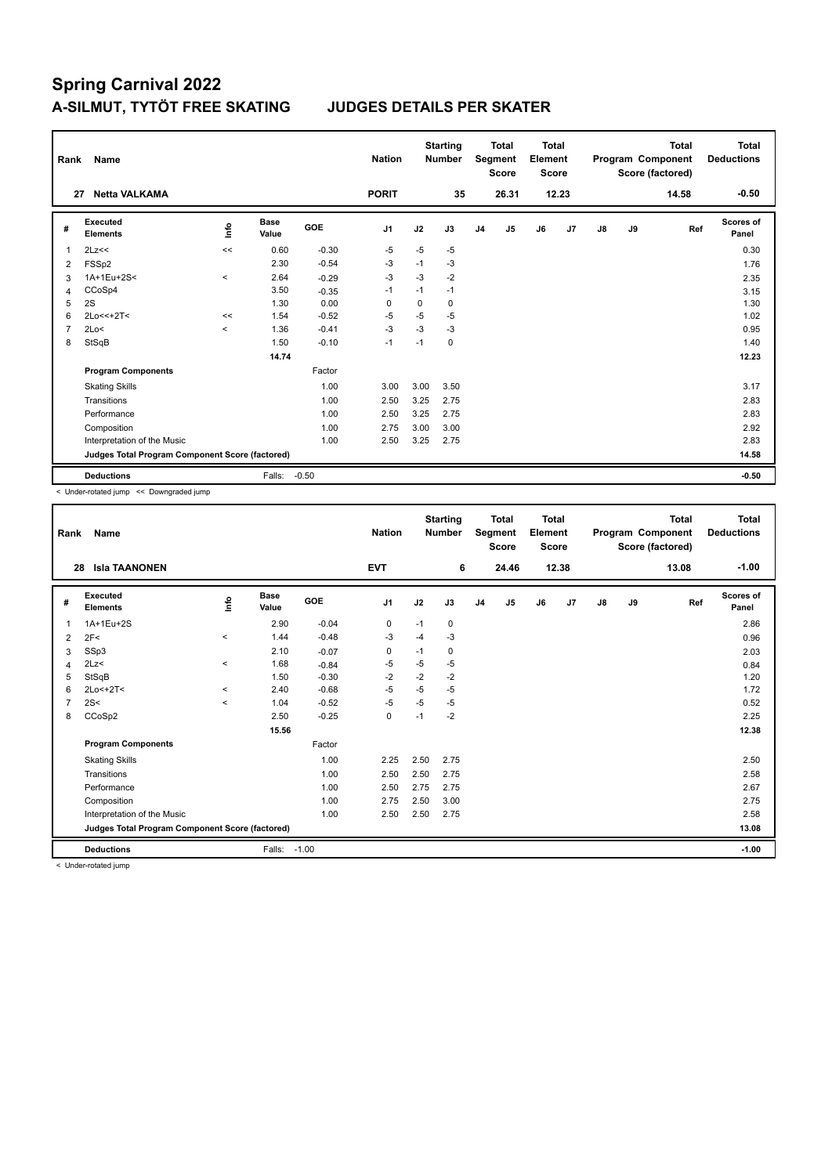| Rank           | Name                                            |         |                      |         | <b>Nation</b>  |          | <b>Starting</b><br><b>Number</b> |                | <b>Total</b><br>Segment<br><b>Score</b> | <b>Total</b><br>Element<br><b>Score</b> |       |    |    | <b>Total</b><br>Program Component<br>Score (factored) | <b>Total</b><br><b>Deductions</b> |
|----------------|-------------------------------------------------|---------|----------------------|---------|----------------|----------|----------------------------------|----------------|-----------------------------------------|-----------------------------------------|-------|----|----|-------------------------------------------------------|-----------------------------------|
|                | <b>Netta VALKAMA</b><br>27                      |         |                      |         | <b>PORIT</b>   |          | 35                               |                | 26.31                                   |                                         | 12.23 |    |    | 14.58                                                 | $-0.50$                           |
| #              | Executed<br><b>Elements</b>                     | lnfo    | <b>Base</b><br>Value | GOE     | J <sub>1</sub> | J2       | J3                               | J <sub>4</sub> | J5                                      | J6                                      | J7    | J8 | J9 | Ref                                                   | Scores of<br>Panel                |
| 1              | 2Lz<<                                           | <<      | 0.60                 | $-0.30$ | $-5$           | $-5$     | $-5$                             |                |                                         |                                         |       |    |    |                                                       | 0.30                              |
| 2              | FSS <sub>p2</sub>                               |         | 2.30                 | $-0.54$ | $-3$           | $-1$     | $-3$                             |                |                                         |                                         |       |    |    |                                                       | 1.76                              |
| 3              | 1A+1Eu+2S<                                      | $\prec$ | 2.64                 | $-0.29$ | $-3$           | $-3$     | $-2$                             |                |                                         |                                         |       |    |    |                                                       | 2.35                              |
| $\overline{4}$ | CCoSp4                                          |         | 3.50                 | $-0.35$ | $-1$           | $-1$     | $-1$                             |                |                                         |                                         |       |    |    |                                                       | 3.15                              |
| 5              | 2S                                              |         | 1.30                 | 0.00    | 0              | $\Omega$ | 0                                |                |                                         |                                         |       |    |    |                                                       | 1.30                              |
| 6              | $2Lo<<+2T<$                                     | <<      | 1.54                 | $-0.52$ | $-5$           | $-5$     | $-5$                             |                |                                         |                                         |       |    |    |                                                       | 1.02                              |
| $\overline{7}$ | 2Lo<                                            | $\prec$ | 1.36                 | $-0.41$ | $-3$           | $-3$     | $-3$                             |                |                                         |                                         |       |    |    |                                                       | 0.95                              |
| 8              | StSqB                                           |         | 1.50                 | $-0.10$ | $-1$           | $-1$     | $\Omega$                         |                |                                         |                                         |       |    |    |                                                       | 1.40                              |
|                |                                                 |         | 14.74                |         |                |          |                                  |                |                                         |                                         |       |    |    |                                                       | 12.23                             |
|                | <b>Program Components</b>                       |         |                      | Factor  |                |          |                                  |                |                                         |                                         |       |    |    |                                                       |                                   |
|                | <b>Skating Skills</b>                           |         |                      | 1.00    | 3.00           | 3.00     | 3.50                             |                |                                         |                                         |       |    |    |                                                       | 3.17                              |
|                | Transitions                                     |         |                      | 1.00    | 2.50           | 3.25     | 2.75                             |                |                                         |                                         |       |    |    |                                                       | 2.83                              |
|                | Performance                                     |         |                      | 1.00    | 2.50           | 3.25     | 2.75                             |                |                                         |                                         |       |    |    |                                                       | 2.83                              |
|                | Composition                                     |         |                      | 1.00    | 2.75           | 3.00     | 3.00                             |                |                                         |                                         |       |    |    |                                                       | 2.92                              |
|                | Interpretation of the Music                     |         |                      | 1.00    | 2.50           | 3.25     | 2.75                             |                |                                         |                                         |       |    |    |                                                       | 2.83                              |
|                | Judges Total Program Component Score (factored) |         |                      |         |                |          |                                  |                |                                         |                                         |       |    |    |                                                       | 14.58                             |
|                | <b>Deductions</b>                               |         | Falls:               | $-0.50$ |                |          |                                  |                |                                         |                                         |       |    |    |                                                       | $-0.50$                           |

< Under-rotated jump << Downgraded jump

| Rank         | Name                                            |             |               |         | <b>Nation</b>  |      | <b>Starting</b><br><b>Number</b> |                | <b>Total</b><br>Segment<br><b>Score</b> | <b>Total</b><br>Element<br>Score |       |               |    | <b>Total</b><br>Program Component<br>Score (factored) | <b>Total</b><br><b>Deductions</b> |
|--------------|-------------------------------------------------|-------------|---------------|---------|----------------|------|----------------------------------|----------------|-----------------------------------------|----------------------------------|-------|---------------|----|-------------------------------------------------------|-----------------------------------|
| 28           | <b>Isla TAANONEN</b>                            |             |               |         | <b>EVT</b>     |      | 6                                |                | 24.46                                   |                                  | 12.38 |               |    | 13.08                                                 | $-1.00$                           |
| #            | Executed<br><b>Elements</b>                     | <b>Info</b> | Base<br>Value | GOE     | J <sub>1</sub> | J2   | J3                               | J <sub>4</sub> | J <sub>5</sub>                          | J6                               | J7    | $\mathsf{J}8$ | J9 | Ref                                                   | Scores of<br>Panel                |
| $\mathbf{1}$ | 1A+1Eu+2S                                       |             | 2.90          | $-0.04$ | 0              | $-1$ | 0                                |                |                                         |                                  |       |               |    |                                                       | 2.86                              |
| 2            | 2F<                                             | $\,<\,$     | 1.44          | $-0.48$ | -3             | $-4$ | $-3$                             |                |                                         |                                  |       |               |    |                                                       | 0.96                              |
| 3            | SSp3                                            |             | 2.10          | $-0.07$ | 0              | $-1$ | 0                                |                |                                         |                                  |       |               |    |                                                       | 2.03                              |
| 4            | 2Lz<                                            | $\,<\,$     | 1.68          | $-0.84$ | -5             | $-5$ | $-5$                             |                |                                         |                                  |       |               |    |                                                       | 0.84                              |
| 5            | StSqB                                           |             | 1.50          | $-0.30$ | $-2$           | $-2$ | $-2$                             |                |                                         |                                  |       |               |    |                                                       | 1.20                              |
| 6            | $2Lo < +2T <$                                   | $\prec$     | 2.40          | $-0.68$ | $-5$           | $-5$ | $-5$                             |                |                                         |                                  |       |               |    |                                                       | 1.72                              |
| 7            | 2S<                                             | $\prec$     | 1.04          | $-0.52$ | -5             | $-5$ | $-5$                             |                |                                         |                                  |       |               |    |                                                       | 0.52                              |
| 8            | CCoSp2                                          |             | 2.50          | $-0.25$ | $\mathbf 0$    | $-1$ | $-2$                             |                |                                         |                                  |       |               |    |                                                       | 2.25                              |
|              |                                                 |             | 15.56         |         |                |      |                                  |                |                                         |                                  |       |               |    |                                                       | 12.38                             |
|              | <b>Program Components</b>                       |             |               | Factor  |                |      |                                  |                |                                         |                                  |       |               |    |                                                       |                                   |
|              | <b>Skating Skills</b>                           |             |               | 1.00    | 2.25           | 2.50 | 2.75                             |                |                                         |                                  |       |               |    |                                                       | 2.50                              |
|              | Transitions                                     |             |               | 1.00    | 2.50           | 2.50 | 2.75                             |                |                                         |                                  |       |               |    |                                                       | 2.58                              |
|              | Performance                                     |             |               | 1.00    | 2.50           | 2.75 | 2.75                             |                |                                         |                                  |       |               |    |                                                       | 2.67                              |
|              | Composition                                     |             |               | 1.00    | 2.75           | 2.50 | 3.00                             |                |                                         |                                  |       |               |    |                                                       | 2.75                              |
|              | Interpretation of the Music                     |             |               | 1.00    | 2.50           | 2.50 | 2.75                             |                |                                         |                                  |       |               |    |                                                       | 2.58                              |
|              | Judges Total Program Component Score (factored) |             |               |         |                |      |                                  |                |                                         |                                  |       |               |    |                                                       | 13.08                             |
|              | <b>Deductions</b>                               |             | Falls:        | $-1.00$ |                |      |                                  |                |                                         |                                  |       |               |    |                                                       | $-1.00$                           |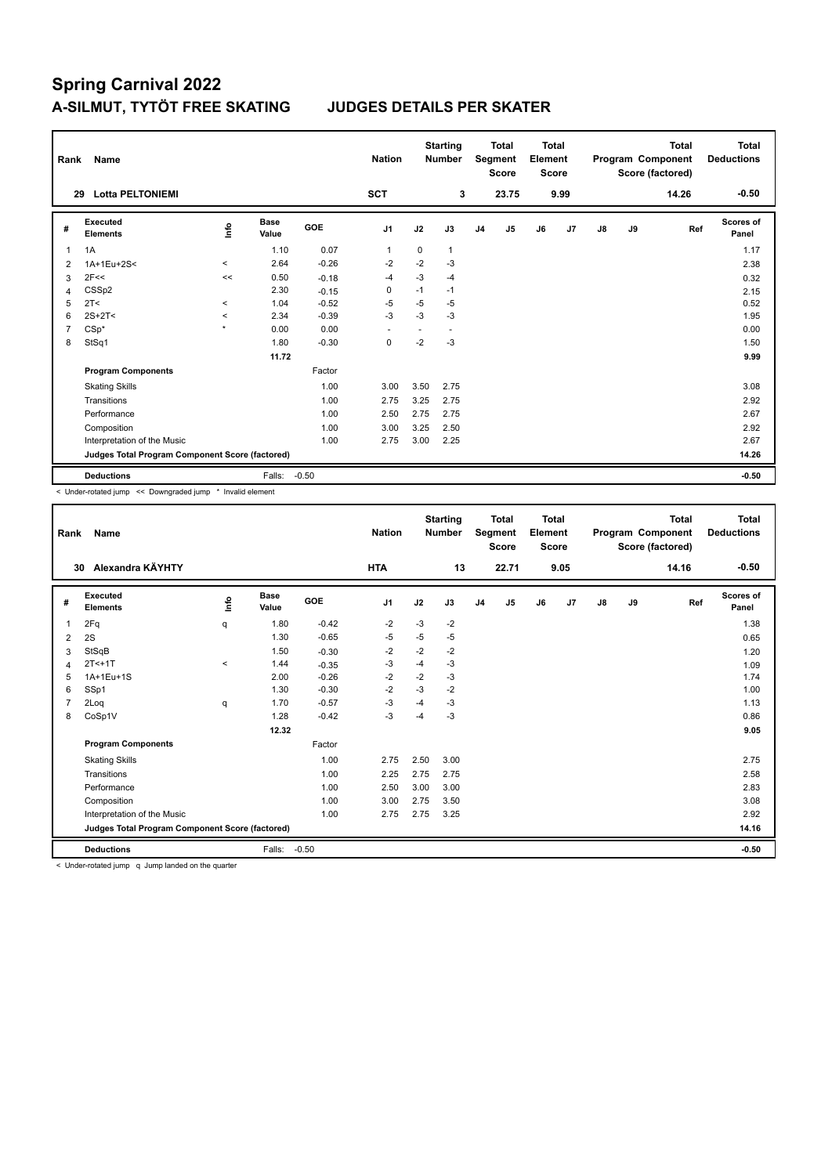| Rank           | Name                                            |         |               |            | <b>Nation</b>  |             | <b>Starting</b><br><b>Number</b> |                | <b>Total</b><br>Segment<br><b>Score</b> | Total<br>Element<br><b>Score</b> |      |    |    | <b>Total</b><br>Program Component<br>Score (factored) | Total<br><b>Deductions</b> |
|----------------|-------------------------------------------------|---------|---------------|------------|----------------|-------------|----------------------------------|----------------|-----------------------------------------|----------------------------------|------|----|----|-------------------------------------------------------|----------------------------|
|                | <b>Lotta PELTONIEMI</b><br>29                   |         |               |            | <b>SCT</b>     |             | 3                                |                | 23.75                                   |                                  | 9.99 |    |    | 14.26                                                 | $-0.50$                    |
| #              | Executed<br><b>Elements</b>                     | ١nfo    | Base<br>Value | <b>GOE</b> | J <sub>1</sub> | J2          | J3                               | J <sub>4</sub> | J5                                      | J6                               | J7   | J8 | J9 | Ref                                                   | Scores of<br>Panel         |
| 1              | 1A                                              |         | 1.10          | 0.07       | $\overline{1}$ | $\mathbf 0$ | 1                                |                |                                         |                                  |      |    |    |                                                       | 1.17                       |
| 2              | 1A+1Eu+2S<                                      | $\,<\,$ | 2.64          | $-0.26$    | $-2$           | $-2$        | $-3$                             |                |                                         |                                  |      |    |    |                                                       | 2.38                       |
| 3              | 2F<<                                            | <<      | 0.50          | $-0.18$    | $-4$           | $-3$        | $-4$                             |                |                                         |                                  |      |    |    |                                                       | 0.32                       |
| 4              | CSS <sub>p2</sub>                               |         | 2.30          | $-0.15$    | 0              | $-1$        | $-1$                             |                |                                         |                                  |      |    |    |                                                       | 2.15                       |
| 5              | 2T <                                            | $\prec$ | 1.04          | $-0.52$    | $-5$           | $-5$        | $-5$                             |                |                                         |                                  |      |    |    |                                                       | 0.52                       |
| 6              | $2S+2T<$                                        | $\prec$ | 2.34          | $-0.39$    | $-3$           | $-3$        | $-3$                             |                |                                         |                                  |      |    |    |                                                       | 1.95                       |
| $\overline{7}$ | $CSp*$                                          | $\star$ | 0.00          | 0.00       |                |             | $\overline{\phantom{a}}$         |                |                                         |                                  |      |    |    |                                                       | 0.00                       |
| 8              | StSq1                                           |         | 1.80          | $-0.30$    | 0              | $-2$        | $-3$                             |                |                                         |                                  |      |    |    |                                                       | 1.50                       |
|                |                                                 |         | 11.72         |            |                |             |                                  |                |                                         |                                  |      |    |    |                                                       | 9.99                       |
|                | <b>Program Components</b>                       |         |               | Factor     |                |             |                                  |                |                                         |                                  |      |    |    |                                                       |                            |
|                | <b>Skating Skills</b>                           |         |               | 1.00       | 3.00           | 3.50        | 2.75                             |                |                                         |                                  |      |    |    |                                                       | 3.08                       |
|                | Transitions                                     |         |               | 1.00       | 2.75           | 3.25        | 2.75                             |                |                                         |                                  |      |    |    |                                                       | 2.92                       |
|                | Performance                                     |         |               | 1.00       | 2.50           | 2.75        | 2.75                             |                |                                         |                                  |      |    |    |                                                       | 2.67                       |
|                | Composition                                     |         |               | 1.00       | 3.00           | 3.25        | 2.50                             |                |                                         |                                  |      |    |    |                                                       | 2.92                       |
|                | Interpretation of the Music                     |         |               | 1.00       | 2.75           | 3.00        | 2.25                             |                |                                         |                                  |      |    |    |                                                       | 2.67                       |
|                | Judges Total Program Component Score (factored) |         |               |            |                |             |                                  |                |                                         |                                  |      |    |    |                                                       | 14.26                      |
|                | <b>Deductions</b>                               |         | Falls:        | $-0.50$    |                |             |                                  |                |                                         |                                  |      |    |    |                                                       | $-0.50$                    |

< Under-rotated jump << Downgraded jump \* Invalid element

| Rank | Name                                            |             |                      |         | <b>Nation</b>  |      | <b>Starting</b><br><b>Number</b> |                | <b>Total</b><br>Segment<br><b>Score</b> | <b>Total</b><br>Element<br><b>Score</b> |                |    |    | <b>Total</b><br>Program Component<br>Score (factored) | Total<br><b>Deductions</b> |
|------|-------------------------------------------------|-------------|----------------------|---------|----------------|------|----------------------------------|----------------|-----------------------------------------|-----------------------------------------|----------------|----|----|-------------------------------------------------------|----------------------------|
| 30   | Alexandra KÄYHTY                                |             |                      |         | <b>HTA</b>     |      | 13                               |                | 22.71                                   |                                         | 9.05           |    |    | 14.16                                                 | $-0.50$                    |
| #    | Executed<br><b>Elements</b>                     | <u>info</u> | <b>Base</b><br>Value | GOE     | J <sub>1</sub> | J2   | J3                               | J <sub>4</sub> | J <sub>5</sub>                          | J6                                      | J <sub>7</sub> | J8 | J9 | Ref                                                   | Scores of<br>Panel         |
| 1    | 2Fq                                             | q           | 1.80                 | $-0.42$ | $-2$           | $-3$ | $-2$                             |                |                                         |                                         |                |    |    |                                                       | 1.38                       |
| 2    | 2S                                              |             | 1.30                 | $-0.65$ | -5             | $-5$ | $-5$                             |                |                                         |                                         |                |    |    |                                                       | 0.65                       |
| 3    | StSqB                                           |             | 1.50                 | $-0.30$ | $-2$           | $-2$ | $-2$                             |                |                                         |                                         |                |    |    |                                                       | 1.20                       |
| 4    | $2T<+1T$                                        | $\prec$     | 1.44                 | $-0.35$ | -3             | $-4$ | $-3$                             |                |                                         |                                         |                |    |    |                                                       | 1.09                       |
| 5    | 1A+1Eu+1S                                       |             | 2.00                 | $-0.26$ | $-2$           | $-2$ | $-3$                             |                |                                         |                                         |                |    |    |                                                       | 1.74                       |
| 6    | SSp1                                            |             | 1.30                 | $-0.30$ | $-2$           | $-3$ | $-2$                             |                |                                         |                                         |                |    |    |                                                       | 1.00                       |
| 7    | 2Log                                            | q           | 1.70                 | $-0.57$ | $-3$           | $-4$ | $-3$                             |                |                                         |                                         |                |    |    |                                                       | 1.13                       |
| 8    | CoSp1V                                          |             | 1.28                 | $-0.42$ | $-3$           | $-4$ | $-3$                             |                |                                         |                                         |                |    |    |                                                       | 0.86                       |
|      |                                                 |             | 12.32                |         |                |      |                                  |                |                                         |                                         |                |    |    |                                                       | 9.05                       |
|      | <b>Program Components</b>                       |             |                      | Factor  |                |      |                                  |                |                                         |                                         |                |    |    |                                                       |                            |
|      | <b>Skating Skills</b>                           |             |                      | 1.00    | 2.75           | 2.50 | 3.00                             |                |                                         |                                         |                |    |    |                                                       | 2.75                       |
|      | Transitions                                     |             |                      | 1.00    | 2.25           | 2.75 | 2.75                             |                |                                         |                                         |                |    |    |                                                       | 2.58                       |
|      | Performance                                     |             |                      | 1.00    | 2.50           | 3.00 | 3.00                             |                |                                         |                                         |                |    |    |                                                       | 2.83                       |
|      | Composition                                     |             |                      | 1.00    | 3.00           | 2.75 | 3.50                             |                |                                         |                                         |                |    |    |                                                       | 3.08                       |
|      | Interpretation of the Music                     |             |                      | 1.00    | 2.75           | 2.75 | 3.25                             |                |                                         |                                         |                |    |    |                                                       | 2.92                       |
|      | Judges Total Program Component Score (factored) |             |                      |         |                |      |                                  |                |                                         |                                         |                |    |    |                                                       | 14.16                      |
|      | <b>Deductions</b>                               |             | Falls:               | $-0.50$ |                |      |                                  |                |                                         |                                         |                |    |    |                                                       | $-0.50$                    |

< Under-rotated jump q Jump landed on the quarter